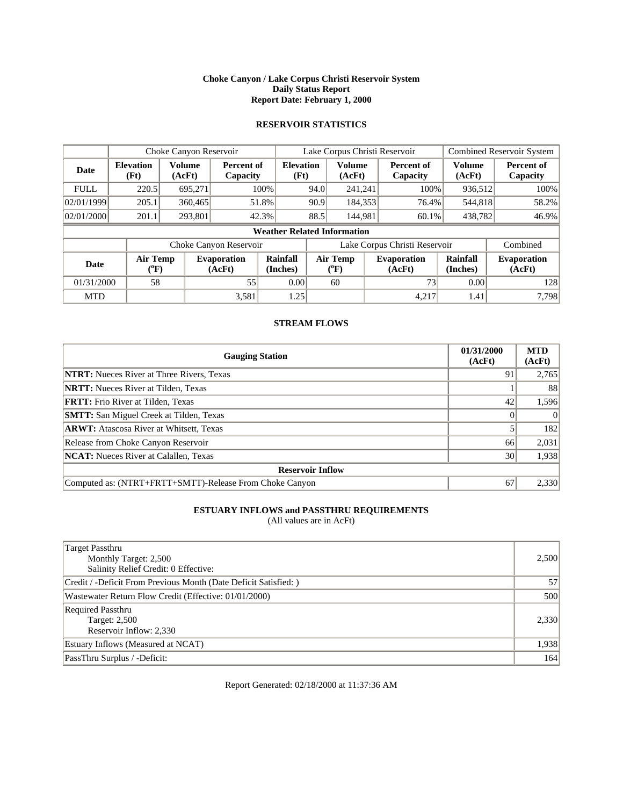### **Choke Canyon / Lake Corpus Christi Reservoir System Daily Status Report Report Date: February 1, 2000**

# **RESERVOIR STATISTICS**

|             | Choke Canyon Reservoir                |                         |                              |                                    | Lake Corpus Christi Reservoir |                         |                              |                               |                         | Combined Reservoir System    |  |
|-------------|---------------------------------------|-------------------------|------------------------------|------------------------------------|-------------------------------|-------------------------|------------------------------|-------------------------------|-------------------------|------------------------------|--|
| Date        | <b>Elevation</b><br>(Ft)              | <b>Volume</b><br>(AcFt) | Percent of<br>Capacity       | <b>Elevation</b><br>(Ft)           |                               | <b>Volume</b><br>(AcFt) |                              | Percent of<br>Capacity        | <b>Volume</b><br>(AcFt) | Percent of<br>Capacity       |  |
| <b>FULL</b> | 220.5                                 | 695,271                 |                              | 100%                               | 94.0                          | 241,241                 |                              | 100%                          | 936,512                 | 100%                         |  |
| 02/01/1999  | 205.1                                 | 360,465                 |                              | 51.8%                              | 90.9                          | 184,353                 |                              | 76.4%                         | 544,818                 | 58.2%                        |  |
| 02/01/2000  | 201.1                                 | 293,801                 |                              | 42.3%                              | 88.5                          | 144,981                 |                              | 60.1%                         | 438,782                 | 46.9%                        |  |
|             |                                       |                         |                              | <b>Weather Related Information</b> |                               |                         |                              |                               |                         |                              |  |
|             |                                       |                         | Choke Canyon Reservoir       |                                    |                               |                         |                              | Lake Corpus Christi Reservoir |                         | Combined                     |  |
| <b>Date</b> | <b>Air Temp</b><br>$({}^0\mathrm{F})$ |                         | <b>Evaporation</b><br>(AcFt) | <b>Rainfall</b><br>(Inches)        | <b>Air Temp</b><br>$(^0F)$    |                         | <b>Evaporation</b><br>(AcFt) |                               | Rainfall<br>(Inches)    | <b>Evaporation</b><br>(AcFt) |  |
| 01/31/2000  | 58                                    |                         | 55                           | 0.00                               |                               | 60                      |                              | 73                            | 0.00                    | 128                          |  |
| <b>MTD</b>  |                                       |                         | 3,581                        | 1.25                               |                               |                         |                              | 4,217                         | 1.41                    | 7,798                        |  |

### **STREAM FLOWS**

| <b>Gauging Station</b>                                  | 01/31/2000<br>(AcFt) | <b>MTD</b><br>(AcFt) |  |  |  |  |
|---------------------------------------------------------|----------------------|----------------------|--|--|--|--|
| <b>NTRT:</b> Nueces River at Three Rivers, Texas        | 91                   | 2,765                |  |  |  |  |
| <b>NRTT:</b> Nueces River at Tilden, Texas              |                      | 88                   |  |  |  |  |
| <b>FRTT:</b> Frio River at Tilden, Texas                | 42                   | 1,596                |  |  |  |  |
| <b>SMTT:</b> San Miguel Creek at Tilden, Texas          |                      | $\Omega$             |  |  |  |  |
| <b>ARWT:</b> Atascosa River at Whitsett, Texas          |                      | 182                  |  |  |  |  |
| Release from Choke Canyon Reservoir                     | 66                   | 2,031                |  |  |  |  |
| <b>NCAT:</b> Nueces River at Calallen, Texas            | 30                   | 1,938                |  |  |  |  |
| <b>Reservoir Inflow</b>                                 |                      |                      |  |  |  |  |
| Computed as: (NTRT+FRTT+SMTT)-Release From Choke Canyon | 67                   | 2,330                |  |  |  |  |

### **ESTUARY INFLOWS and PASSTHRU REQUIREMENTS**

(All values are in AcFt)

| <b>Target Passthru</b><br>Monthly Target: 2,500<br>Salinity Relief Credit: 0 Effective: | 2,500 |
|-----------------------------------------------------------------------------------------|-------|
| Credit / -Deficit From Previous Month (Date Deficit Satisfied:)                         | 57    |
| Wastewater Return Flow Credit (Effective: 01/01/2000)                                   | 500   |
| Required Passthru<br>Target: 2,500<br>Reservoir Inflow: 2,330                           | 2,330 |
| Estuary Inflows (Measured at NCAT)                                                      | 1,938 |
| PassThru Surplus / -Deficit:                                                            | 164   |

Report Generated: 02/18/2000 at 11:37:36 AM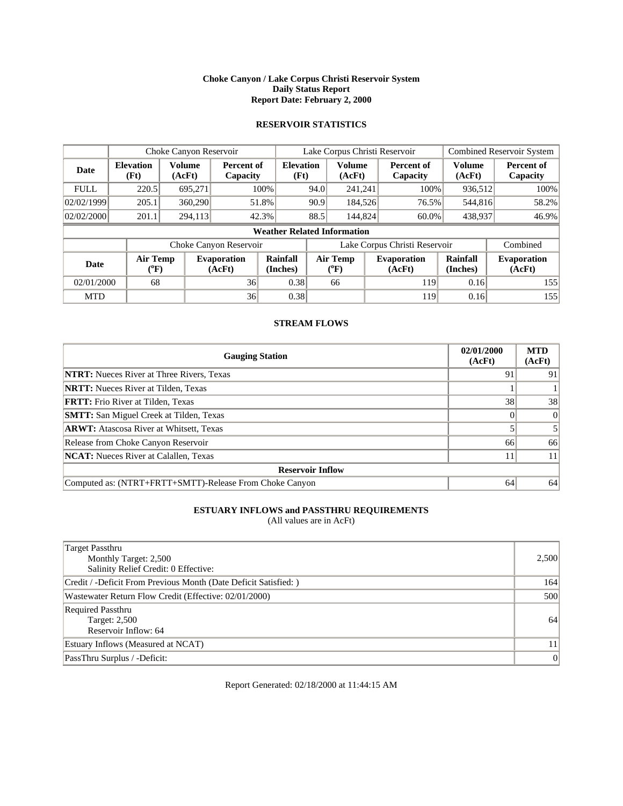### **Choke Canyon / Lake Corpus Christi Reservoir System Daily Status Report Report Date: February 2, 2000**

# **RESERVOIR STATISTICS**

|             | Choke Canyon Reservoir         |                         |                                                      |                                    | Lake Corpus Christi Reservoir |                            |  |                               |                         | <b>Combined Reservoir System</b> |  |
|-------------|--------------------------------|-------------------------|------------------------------------------------------|------------------------------------|-------------------------------|----------------------------|--|-------------------------------|-------------------------|----------------------------------|--|
| Date        | <b>Elevation</b><br>(Ft)       | <b>Volume</b><br>(AcFt) | Percent of<br>Capacity                               | <b>Elevation</b><br>(Ft)           |                               | <b>Volume</b><br>(AcFt)    |  | Percent of<br>Capacity        | <b>Volume</b><br>(AcFt) | Percent of<br>Capacity           |  |
| <b>FULL</b> | 220.5                          | 695.271                 |                                                      | 100%                               | 94.0                          | 241,241                    |  | 100%                          | 936,512                 | 100%                             |  |
| 02/02/1999  | 205.1                          | 360,290                 | 51.8%                                                |                                    | 90.9                          | 184.526                    |  | 76.5%                         | 544,816                 | 58.2%                            |  |
| 02/02/2000  | 201.1                          | 294,113                 | 42.3%                                                |                                    | 88.5                          | 144,824                    |  | 60.0%                         | 438,937                 | 46.9%                            |  |
|             |                                |                         |                                                      | <b>Weather Related Information</b> |                               |                            |  |                               |                         |                                  |  |
|             |                                |                         | Choke Canyon Reservoir                               |                                    |                               |                            |  | Lake Corpus Christi Reservoir |                         | Combined                         |  |
| <b>Date</b> | Air Temp<br>$({}^0\mathrm{F})$ |                         | Rainfall<br><b>Evaporation</b><br>(AcFt)<br>(Inches) |                                    |                               | <b>Air Temp</b><br>$(^0F)$ |  | <b>Evaporation</b><br>(AcFt)  | Rainfall<br>(Inches)    | <b>Evaporation</b><br>(AcFt)     |  |
| 02/01/2000  | 68                             |                         | 36                                                   | 0.38                               |                               | 66                         |  | 119                           | 0.16                    | 155                              |  |
| <b>MTD</b>  |                                |                         | 36                                                   | 0.38                               |                               |                            |  | 119                           | 0.16                    | 155                              |  |

### **STREAM FLOWS**

| <b>Gauging Station</b>                                  | 02/01/2000<br>(AcFt) | <b>MTD</b><br>(AcFt) |  |  |  |  |
|---------------------------------------------------------|----------------------|----------------------|--|--|--|--|
| <b>NTRT:</b> Nueces River at Three Rivers, Texas        | 91                   | 91                   |  |  |  |  |
| <b>NRTT:</b> Nueces River at Tilden, Texas              |                      |                      |  |  |  |  |
| <b>FRTT:</b> Frio River at Tilden, Texas                | 38                   | 38                   |  |  |  |  |
| <b>SMTT:</b> San Miguel Creek at Tilden, Texas          |                      | $\Omega$             |  |  |  |  |
| <b>ARWT:</b> Atascosa River at Whitsett, Texas          |                      |                      |  |  |  |  |
| Release from Choke Canyon Reservoir                     | 66                   | 66                   |  |  |  |  |
| <b>NCAT:</b> Nueces River at Calallen, Texas            |                      |                      |  |  |  |  |
| <b>Reservoir Inflow</b>                                 |                      |                      |  |  |  |  |
| Computed as: (NTRT+FRTT+SMTT)-Release From Choke Canyon | 64                   | 64                   |  |  |  |  |

### **ESTUARY INFLOWS and PASSTHRU REQUIREMENTS**

(All values are in AcFt)

| <b>Target Passthru</b><br>Monthly Target: 2,500<br>Salinity Relief Credit: 0 Effective: | 2,500 |
|-----------------------------------------------------------------------------------------|-------|
| Credit / -Deficit From Previous Month (Date Deficit Satisfied: )                        | 164   |
| Wastewater Return Flow Credit (Effective: 02/01/2000)                                   | 500   |
| Required Passthru<br><b>Target: 2,500</b><br>Reservoir Inflow: 64                       | 64    |
| Estuary Inflows (Measured at NCAT)                                                      |       |
| PassThru Surplus / -Deficit:                                                            | 0     |

Report Generated: 02/18/2000 at 11:44:15 AM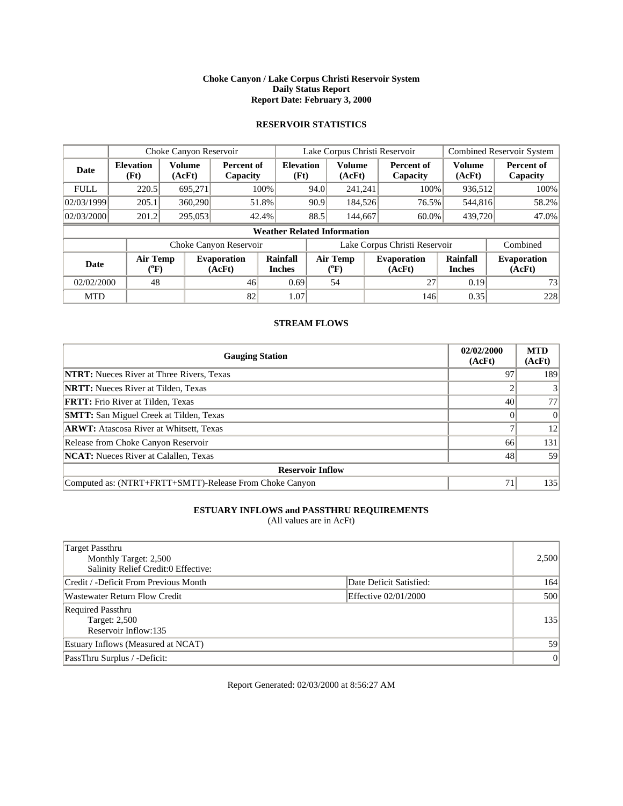### **Choke Canyon / Lake Corpus Christi Reservoir System Daily Status Report Report Date: February 3, 2000**

# **RESERVOIR STATISTICS**

|             | Choke Canyon Reservoir         |                         |                              |                                    | Lake Corpus Christi Reservoir         |                         |  |                               | Combined Reservoir System |                              |
|-------------|--------------------------------|-------------------------|------------------------------|------------------------------------|---------------------------------------|-------------------------|--|-------------------------------|---------------------------|------------------------------|
| Date        | <b>Elevation</b><br>(Ft)       | <b>Volume</b><br>(AcFt) | Percent of<br>Capacity       | <b>Elevation</b><br>(Ft)           |                                       | <b>Volume</b><br>(AcFt) |  | <b>Percent of</b><br>Capacity | <b>Volume</b><br>(AcFt)   | Percent of<br>Capacity       |
| <b>FULL</b> | 220.5                          | 695.271                 | 100%                         |                                    | 94.0                                  | 241,241                 |  | 100%                          | 936,512                   | 100%                         |
| 02/03/1999  | 205.1                          | 360,290                 | 51.8%                        |                                    | 90.9                                  | 184,526                 |  | 76.5%                         | 544,816                   | 58.2%                        |
| 02/03/2000  | 201.2                          | 295,053                 | 42.4%                        |                                    | 88.5                                  | 144,667                 |  | 60.0%                         | 439,720                   | 47.0%                        |
|             |                                |                         |                              | <b>Weather Related Information</b> |                                       |                         |  |                               |                           |                              |
|             |                                |                         | Choke Canyon Reservoir       |                                    |                                       |                         |  | Lake Corpus Christi Reservoir |                           | Combined                     |
| <b>Date</b> | Air Temp<br>$({}^o\mathrm{F})$ |                         | <b>Evaporation</b><br>(AcFt) | <b>Rainfall</b><br><b>Inches</b>   | <b>Air Temp</b><br>$({}^0\mathrm{F})$ |                         |  | <b>Evaporation</b><br>(AcFt)  | Rainfall<br><b>Inches</b> | <b>Evaporation</b><br>(AcFt) |
| 02/02/2000  | 48                             |                         | 46                           | 0.69                               |                                       | 54                      |  | 27                            | 0.19                      | 73                           |
| <b>MTD</b>  |                                |                         | 82                           | 1.07                               |                                       |                         |  | 146                           | 0.35                      | 228                          |

### **STREAM FLOWS**

| <b>Gauging Station</b>                                  | 02/02/2000<br>(AcFt) | <b>MTD</b><br>(AcFt) |  |  |  |  |
|---------------------------------------------------------|----------------------|----------------------|--|--|--|--|
| <b>NTRT:</b> Nueces River at Three Rivers, Texas        | 97                   | 189                  |  |  |  |  |
| <b>NRTT:</b> Nueces River at Tilden, Texas              |                      |                      |  |  |  |  |
| <b>FRTT:</b> Frio River at Tilden, Texas                | 40                   | 77                   |  |  |  |  |
| <b>SMTT:</b> San Miguel Creek at Tilden, Texas          |                      | $\Omega$             |  |  |  |  |
| <b>ARWT:</b> Atascosa River at Whitsett, Texas          |                      | 12                   |  |  |  |  |
| Release from Choke Canyon Reservoir                     | 66                   | 131                  |  |  |  |  |
| <b>NCAT:</b> Nueces River at Calallen, Texas            | 48                   | 59                   |  |  |  |  |
| <b>Reservoir Inflow</b>                                 |                      |                      |  |  |  |  |
| Computed as: (NTRT+FRTT+SMTT)-Release From Choke Canyon | 71                   | 135                  |  |  |  |  |

# **ESTUARY INFLOWS and PASSTHRU REQUIREMENTS**

(All values are in AcFt)

| Target Passthru<br>Monthly Target: 2,500<br>Salinity Relief Credit:0 Effective: |                         | 2,500 |
|---------------------------------------------------------------------------------|-------------------------|-------|
| Credit / -Deficit From Previous Month                                           | Date Deficit Satisfied: | 164   |
| Wastewater Return Flow Credit                                                   | Effective 02/01/2000    | 500   |
| Required Passthru<br>Target: 2,500<br>Reservoir Inflow:135                      |                         | 135   |
| Estuary Inflows (Measured at NCAT)                                              |                         | 59    |
| PassThru Surplus / -Deficit:                                                    |                         | 0     |

Report Generated: 02/03/2000 at 8:56:27 AM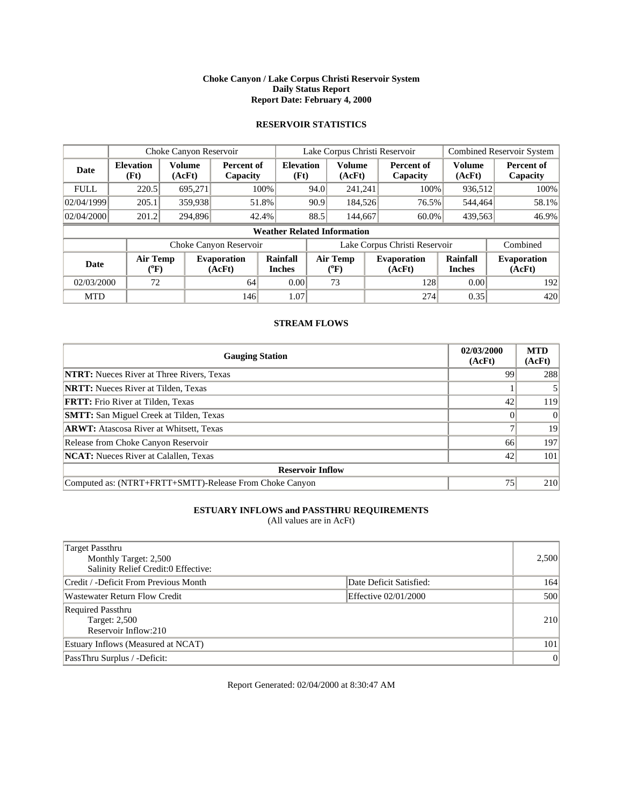### **Choke Canyon / Lake Corpus Christi Reservoir System Daily Status Report Report Date: February 4, 2000**

# **RESERVOIR STATISTICS**

|             | Choke Canyon Reservoir         |                         |                              |                                    | Lake Corpus Christi Reservoir |                                       |  |                               |                           | <b>Combined Reservoir System</b> |  |
|-------------|--------------------------------|-------------------------|------------------------------|------------------------------------|-------------------------------|---------------------------------------|--|-------------------------------|---------------------------|----------------------------------|--|
| Date        | <b>Elevation</b><br>(Ft)       | <b>Volume</b><br>(AcFt) | Percent of<br>Capacity       | <b>Elevation</b><br>(Ft)           |                               | <b>Volume</b><br>(AcFt)               |  | Percent of<br>Capacity        | Volume<br>(AcFt)          | Percent of<br>Capacity           |  |
| <b>FULL</b> | 220.5                          | 695.271                 |                              | $100\%$                            | 94.0                          | 241,241                               |  | 100%                          | 936,512                   | 100%                             |  |
| 02/04/1999  | 205.1                          | 359,938                 |                              | 51.8%                              | 90.9                          | 184.526                               |  | 76.5%                         | 544,464                   | 58.1%                            |  |
| 02/04/2000  | 201.2                          | 294,896                 |                              | 42.4%                              | 88.5                          | 144,667                               |  | 60.0%                         | 439,563                   | 46.9%                            |  |
|             |                                |                         |                              | <b>Weather Related Information</b> |                               |                                       |  |                               |                           |                                  |  |
|             |                                |                         | Choke Canyon Reservoir       |                                    |                               |                                       |  | Lake Corpus Christi Reservoir |                           | Combined                         |  |
| <b>Date</b> | Air Temp<br>$({}^0\mathrm{F})$ |                         | <b>Evaporation</b><br>(AcFt) | Rainfall<br><b>Inches</b>          |                               | <b>Air Temp</b><br>$({}^o\mathrm{F})$ |  | <b>Evaporation</b><br>(AcFt)  | Rainfall<br><b>Inches</b> | <b>Evaporation</b><br>(AcFt)     |  |
| 02/03/2000  | 72                             |                         | 64                           | 0.00                               |                               | 73                                    |  | 128                           | 0.00                      | 192                              |  |
| <b>MTD</b>  |                                |                         | 146                          | 1.07                               |                               |                                       |  | 274                           | 0.35                      | 420                              |  |

### **STREAM FLOWS**

| <b>Gauging Station</b>                                  | 02/03/2000<br>(AcFt) | <b>MTD</b><br>(AcFt) |  |  |  |  |
|---------------------------------------------------------|----------------------|----------------------|--|--|--|--|
| <b>NTRT:</b> Nueces River at Three Rivers, Texas        | 99                   | 288                  |  |  |  |  |
| <b>NRTT:</b> Nueces River at Tilden, Texas              |                      |                      |  |  |  |  |
| <b>FRTT:</b> Frio River at Tilden, Texas                | 42                   | 119                  |  |  |  |  |
| <b>SMTT:</b> San Miguel Creek at Tilden, Texas          |                      | $\Omega$             |  |  |  |  |
| <b>ARWT:</b> Atascosa River at Whitsett, Texas          |                      | 19                   |  |  |  |  |
| Release from Choke Canyon Reservoir                     | 66                   | 197                  |  |  |  |  |
| <b>NCAT:</b> Nueces River at Calallen, Texas            | 42                   | 101                  |  |  |  |  |
| <b>Reservoir Inflow</b>                                 |                      |                      |  |  |  |  |
| Computed as: (NTRT+FRTT+SMTT)-Release From Choke Canyon | 75                   | 210                  |  |  |  |  |

# **ESTUARY INFLOWS and PASSTHRU REQUIREMENTS**

(All values are in AcFt)

| Target Passthru<br>Monthly Target: 2,500<br>Salinity Relief Credit:0 Effective: |                         | 2,500          |
|---------------------------------------------------------------------------------|-------------------------|----------------|
| Credit / -Deficit From Previous Month                                           | Date Deficit Satisfied: | 164            |
| Wastewater Return Flow Credit                                                   | Effective 02/01/2000    | 500            |
| Required Passthru<br><b>Target: 2,500</b><br>Reservoir Inflow:210               |                         | 210            |
| Estuary Inflows (Measured at NCAT)                                              |                         | 101            |
| PassThru Surplus / -Deficit:                                                    |                         | $\overline{0}$ |

Report Generated: 02/04/2000 at 8:30:47 AM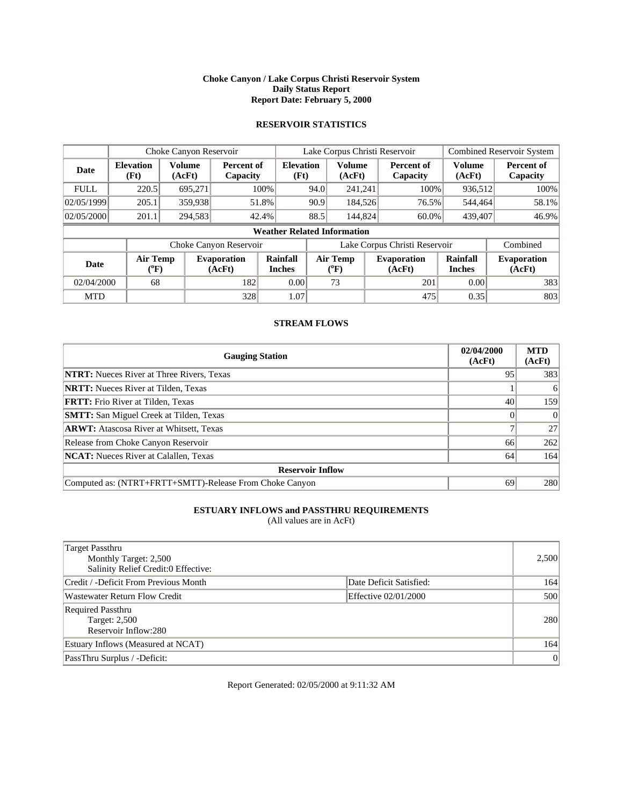### **Choke Canyon / Lake Corpus Christi Reservoir System Daily Status Report Report Date: February 5, 2000**

# **RESERVOIR STATISTICS**

|                                                      | Choke Canyon Reservoir   |                         |                              |                                    | Lake Corpus Christi Reservoir |                                       |  |                               |                           | <b>Combined Reservoir System</b> |  |
|------------------------------------------------------|--------------------------|-------------------------|------------------------------|------------------------------------|-------------------------------|---------------------------------------|--|-------------------------------|---------------------------|----------------------------------|--|
| Date                                                 | <b>Elevation</b><br>(Ft) | <b>Volume</b><br>(AcFt) | Percent of<br>Capacity       | <b>Elevation</b><br>(Ft)           |                               | <b>Volume</b><br>(AcFt)               |  | Percent of<br>Capacity        | <b>Volume</b><br>(AcFt)   | Percent of<br>Capacity           |  |
| <b>FULL</b>                                          | 220.5                    | 695.271                 |                              | $100\%$                            | 94.0                          | 241,241                               |  | 100%                          | 936,512                   | 100%                             |  |
| 02/05/1999                                           | 205.1                    | 359,938                 | 51.8%                        |                                    | 90.9                          | 184.526                               |  | 76.5%                         | 544,464                   | 58.1%                            |  |
| 02/05/2000                                           | 201.1                    | 294,583                 | 42.4%                        |                                    | 88.5                          | 144,824                               |  | 60.0%                         | 439,407                   | 46.9%                            |  |
|                                                      |                          |                         |                              | <b>Weather Related Information</b> |                               |                                       |  |                               |                           |                                  |  |
|                                                      |                          |                         | Choke Canyon Reservoir       |                                    |                               |                                       |  | Lake Corpus Christi Reservoir |                           | Combined                         |  |
| <b>Air Temp</b><br><b>Date</b><br>$({}^0\mathrm{F})$ |                          |                         | <b>Evaporation</b><br>(AcFt) | Rainfall<br><b>Inches</b>          |                               | <b>Air Temp</b><br>$({}^o\mathrm{F})$ |  | <b>Evaporation</b><br>(AcFt)  | Rainfall<br><b>Inches</b> | <b>Evaporation</b><br>(AcFt)     |  |
| 02/04/2000                                           | 68                       |                         | 182                          | 0.00                               |                               | 73                                    |  | 201                           | 0.00                      | 383                              |  |
| <b>MTD</b>                                           |                          |                         | 328                          | 1.07                               |                               |                                       |  | 475                           | 0.35                      | 803                              |  |

### **STREAM FLOWS**

| <b>Gauging Station</b>                                  | 02/04/2000<br>(AcFt) | <b>MTD</b><br>(AcFt) |  |  |  |
|---------------------------------------------------------|----------------------|----------------------|--|--|--|
| <b>NTRT:</b> Nueces River at Three Rivers, Texas        | 95                   | 383                  |  |  |  |
| <b>NRTT:</b> Nueces River at Tilden, Texas              |                      | 6                    |  |  |  |
| <b>FRTT:</b> Frio River at Tilden, Texas                | 40                   | 159                  |  |  |  |
| <b>SMTT:</b> San Miguel Creek at Tilden, Texas          |                      | $\vert$ 0            |  |  |  |
| <b>ARWT:</b> Atascosa River at Whitsett, Texas          |                      | 27                   |  |  |  |
| Release from Choke Canyon Reservoir                     | 66                   | 262                  |  |  |  |
| <b>NCAT:</b> Nueces River at Calallen, Texas            | 64                   | 164                  |  |  |  |
| <b>Reservoir Inflow</b>                                 |                      |                      |  |  |  |
| Computed as: (NTRT+FRTT+SMTT)-Release From Choke Canyon | 69                   | 280                  |  |  |  |

# **ESTUARY INFLOWS and PASSTHRU REQUIREMENTS**

(All values are in AcFt)

| Target Passthru<br>Monthly Target: 2,500<br>Salinity Relief Credit:0 Effective: |                         | 2,500          |
|---------------------------------------------------------------------------------|-------------------------|----------------|
| Credit / -Deficit From Previous Month                                           | Date Deficit Satisfied: | 164            |
| Wastewater Return Flow Credit                                                   | Effective 02/01/2000    | 500            |
| Required Passthru<br><b>Target: 2,500</b><br>Reservoir Inflow:280               |                         | 280            |
| Estuary Inflows (Measured at NCAT)                                              |                         | 164            |
| PassThru Surplus / -Deficit:                                                    |                         | $\overline{0}$ |

Report Generated: 02/05/2000 at 9:11:32 AM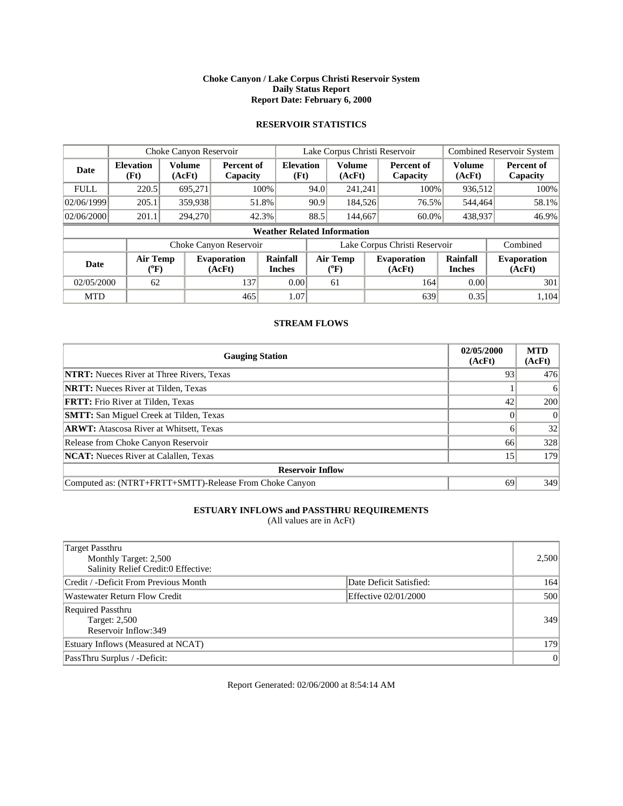### **Choke Canyon / Lake Corpus Christi Reservoir System Daily Status Report Report Date: February 6, 2000**

# **RESERVOIR STATISTICS**

|             | Choke Canyon Reservoir         |                         |                              |                                    | Lake Corpus Christi Reservoir |                            |  |                               |                           | Combined Reservoir System    |  |
|-------------|--------------------------------|-------------------------|------------------------------|------------------------------------|-------------------------------|----------------------------|--|-------------------------------|---------------------------|------------------------------|--|
| Date        | <b>Elevation</b><br>(Ft)       | <b>Volume</b><br>(AcFt) | Percent of<br>Capacity       | <b>Elevation</b><br>(Ft)           |                               | <b>Volume</b><br>(AcFt)    |  | Percent of<br>Capacity        | <b>Volume</b><br>(AcFt)   | Percent of<br>Capacity       |  |
| <b>FULL</b> | 220.5                          | 695.271                 |                              | 100%                               | 94.0                          | 241,241                    |  | 100%                          | 936,512                   | 100%                         |  |
| 02/06/1999  | 205.1                          | 359,938                 | 51.8%                        |                                    | 90.9                          | 184,526                    |  | 76.5%                         | 544,464                   | 58.1%                        |  |
| 02/06/2000  | 201.1                          | 294,270                 | 42.3%                        |                                    | 88.5                          | 144,667                    |  | $60.0\%$                      | 438,937                   | 46.9%                        |  |
|             |                                |                         |                              | <b>Weather Related Information</b> |                               |                            |  |                               |                           |                              |  |
|             |                                |                         | Choke Canyon Reservoir       |                                    |                               |                            |  | Lake Corpus Christi Reservoir |                           | Combined                     |  |
| <b>Date</b> | Air Temp<br>$({}^0\mathrm{F})$ |                         | <b>Evaporation</b><br>(AcFt) | Rainfall<br><b>Inches</b>          |                               | <b>Air Temp</b><br>$(^0F)$ |  | <b>Evaporation</b><br>(AcFt)  | Rainfall<br><b>Inches</b> | <b>Evaporation</b><br>(AcFt) |  |
| 02/05/2000  | 62                             |                         | 137                          | 0.00                               |                               | 61                         |  | 164                           | 0.00                      | 301                          |  |
| <b>MTD</b>  |                                |                         | 465                          | 1.07                               |                               |                            |  | 639                           | 0.35                      | 1,104                        |  |

### **STREAM FLOWS**

| <b>Gauging Station</b>                                  | 02/05/2000<br>(AcFt) | <b>MTD</b><br>(AcFt) |
|---------------------------------------------------------|----------------------|----------------------|
| <b>NTRT:</b> Nueces River at Three Rivers, Texas        | 93                   | 476                  |
| <b>NRTT:</b> Nueces River at Tilden, Texas              |                      | 6                    |
| <b>FRTT:</b> Frio River at Tilden, Texas                | 42                   | 200                  |
| <b>SMTT:</b> San Miguel Creek at Tilden, Texas          |                      | $\vert$ 0            |
| <b>ARWT:</b> Atascosa River at Whitsett, Texas          | <sub>0</sub>         | 32                   |
| Release from Choke Canyon Reservoir                     | 66                   | 328                  |
| <b>NCAT:</b> Nueces River at Calallen, Texas            | 15                   | 179                  |
| <b>Reservoir Inflow</b>                                 |                      |                      |
| Computed as: (NTRT+FRTT+SMTT)-Release From Choke Canyon | 69                   | 349                  |

# **ESTUARY INFLOWS and PASSTHRU REQUIREMENTS**

(All values are in AcFt)

| Target Passthru<br>Monthly Target: 2,500<br>Salinity Relief Credit:0 Effective: |                         | 2,500 |
|---------------------------------------------------------------------------------|-------------------------|-------|
| Credit / -Deficit From Previous Month                                           | Date Deficit Satisfied: | 164   |
| Wastewater Return Flow Credit                                                   | Effective 02/01/2000    | 500   |
| Required Passthru<br>Target: 2,500<br>Reservoir Inflow:349                      |                         | 349   |
| Estuary Inflows (Measured at NCAT)                                              |                         | 179   |
| PassThru Surplus / -Deficit:                                                    |                         | 0     |

Report Generated: 02/06/2000 at 8:54:14 AM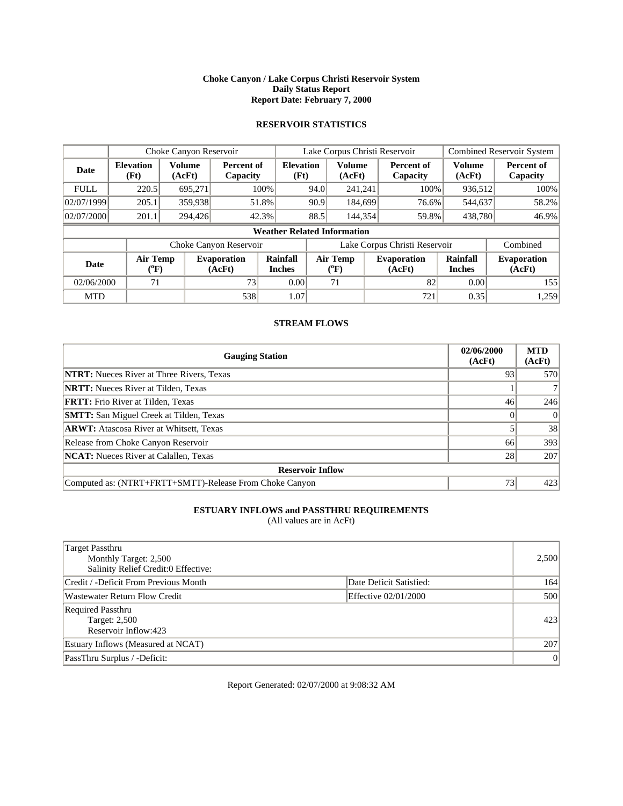### **Choke Canyon / Lake Corpus Christi Reservoir System Daily Status Report Report Date: February 7, 2000**

# **RESERVOIR STATISTICS**

|                                    | Choke Canyon Reservoir         |                  |                                                           |                          | Lake Corpus Christi Reservoir |                                       |  |                               |                           | Combined Reservoir System    |  |
|------------------------------------|--------------------------------|------------------|-----------------------------------------------------------|--------------------------|-------------------------------|---------------------------------------|--|-------------------------------|---------------------------|------------------------------|--|
| Date                               | <b>Elevation</b><br>(Ft)       | Volume<br>(AcFt) | Percent of<br>Capacity                                    | <b>Elevation</b><br>(Ft) |                               | <b>Volume</b><br>(AcFt)               |  | Percent of<br>Capacity        | <b>Volume</b><br>(AcFt)   | Percent of<br>Capacity       |  |
| <b>FULL</b>                        | 220.5                          | 695,271          | $100\%$                                                   |                          | 94.0                          | 241,241                               |  | 100%                          | 936,512                   | 100%                         |  |
| 02/07/1999                         | 205.1                          | 359,938          | 51.8%                                                     |                          | 90.9                          | 184,699                               |  | 76.6%                         | 544,637                   | 58.2%                        |  |
| 02/07/2000                         | 201.1                          | 294,426          | 42.3%                                                     |                          | 88.5                          | 144,354                               |  | 59.8%                         | 438,780                   | 46.9%                        |  |
| <b>Weather Related Information</b> |                                |                  |                                                           |                          |                               |                                       |  |                               |                           |                              |  |
|                                    |                                |                  | Choke Canyon Reservoir                                    |                          |                               |                                       |  | Lake Corpus Christi Reservoir |                           | Combined                     |  |
| <b>Date</b>                        | Air Temp<br>$({}^0\mathrm{F})$ |                  | Rainfall<br><b>Evaporation</b><br>(AcFt)<br><b>Inches</b> |                          |                               | <b>Air Temp</b><br>$({}^0\mathrm{F})$ |  | <b>Evaporation</b><br>(AcFt)  | Rainfall<br><b>Inches</b> | <b>Evaporation</b><br>(AcFt) |  |
| 02/06/2000                         | 71                             |                  | 73                                                        | 0.00                     |                               | 71                                    |  | 82                            | 0.00                      | 155                          |  |
| <b>MTD</b>                         |                                |                  | 538                                                       | 1.07                     |                               |                                       |  | 721                           | 0.35                      | 1,259                        |  |

### **STREAM FLOWS**

| <b>Gauging Station</b>                                  | 02/06/2000<br>(AcFt) | <b>MTD</b><br>(AcFt) |
|---------------------------------------------------------|----------------------|----------------------|
| <b>NTRT:</b> Nueces River at Three Rivers, Texas        | 93 <sub>1</sub>      | 570                  |
| <b>NRTT:</b> Nueces River at Tilden, Texas              |                      |                      |
| <b>FRTT:</b> Frio River at Tilden, Texas                | 46                   | 246                  |
| <b>SMTT:</b> San Miguel Creek at Tilden, Texas          |                      | $\vert$ 0            |
| <b>ARWT:</b> Atascosa River at Whitsett, Texas          |                      | 38                   |
| Release from Choke Canyon Reservoir                     | 66                   | 393                  |
| <b>NCAT:</b> Nueces River at Calallen, Texas            | 28                   | 207                  |
| <b>Reservoir Inflow</b>                                 |                      |                      |
| Computed as: (NTRT+FRTT+SMTT)-Release From Choke Canyon | 73                   | 423                  |

# **ESTUARY INFLOWS and PASSTHRU REQUIREMENTS**

(All values are in AcFt)

| Target Passthru<br>Monthly Target: 2,500<br>Salinity Relief Credit:0 Effective: |                         | 2,500          |
|---------------------------------------------------------------------------------|-------------------------|----------------|
| Credit / -Deficit From Previous Month                                           | Date Deficit Satisfied: | 164            |
| Wastewater Return Flow Credit                                                   | Effective 02/01/2000    | 500            |
| Required Passthru<br><b>Target: 2,500</b><br>Reservoir Inflow:423               |                         | 423            |
| Estuary Inflows (Measured at NCAT)                                              |                         | 207            |
| PassThru Surplus / -Deficit:                                                    |                         | $\overline{0}$ |

Report Generated: 02/07/2000 at 9:08:32 AM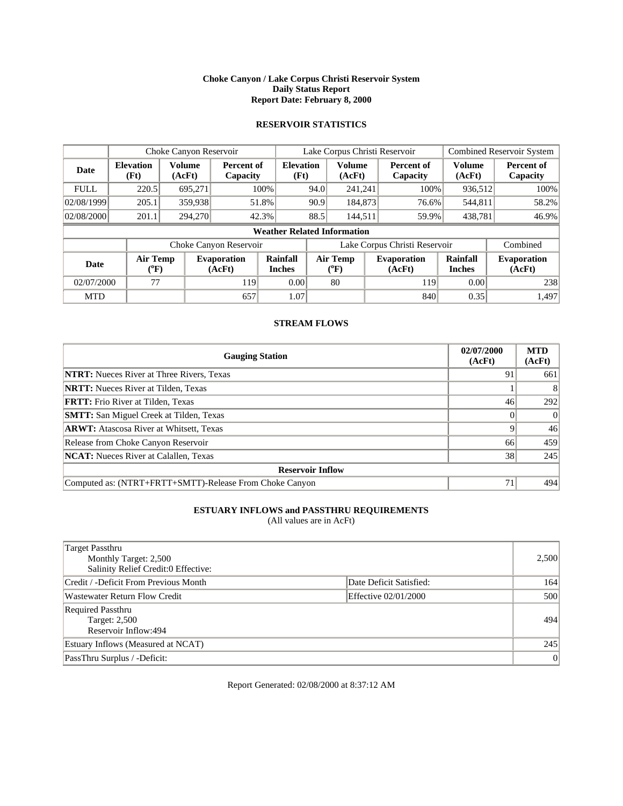### **Choke Canyon / Lake Corpus Christi Reservoir System Daily Status Report Report Date: February 8, 2000**

# **RESERVOIR STATISTICS**

|             | Choke Canyon Reservoir         |                         |                              |                                    | Lake Corpus Christi Reservoir |                                       |  |                               |                           | Combined Reservoir System    |  |
|-------------|--------------------------------|-------------------------|------------------------------|------------------------------------|-------------------------------|---------------------------------------|--|-------------------------------|---------------------------|------------------------------|--|
| Date        | <b>Elevation</b><br>(Ft)       | <b>Volume</b><br>(AcFt) | Percent of<br>Capacity       | <b>Elevation</b><br>(Ft)           |                               | <b>Volume</b><br>(AcFt)               |  | Percent of<br>Capacity        | <b>Volume</b><br>(AcFt)   | Percent of<br>Capacity       |  |
| <b>FULL</b> | 220.5                          | 695.271                 | 100%                         |                                    | 94.0                          | 241,241                               |  | 100%                          | 936,512                   | 100%                         |  |
| 02/08/1999  | 205.1                          | 359,938                 | 51.8%                        |                                    | 90.9                          | 184,873                               |  | 76.6%                         | 544,811                   | 58.2%                        |  |
| 02/08/2000  | 201.1                          | 294,270                 | 42.3%                        |                                    | 88.5                          | 144,511                               |  | 59.9%                         | 438,781                   | 46.9%                        |  |
|             |                                |                         |                              | <b>Weather Related Information</b> |                               |                                       |  |                               |                           |                              |  |
|             |                                |                         | Choke Canyon Reservoir       |                                    |                               |                                       |  | Lake Corpus Christi Reservoir |                           | Combined                     |  |
| <b>Date</b> | Air Temp<br>$({}^0\mathrm{F})$ |                         | <b>Evaporation</b><br>(AcFt) | Rainfall<br><b>Inches</b>          |                               | <b>Air Temp</b><br>$({}^0\mathrm{F})$ |  | <b>Evaporation</b><br>(AcFt)  | Rainfall<br><b>Inches</b> | <b>Evaporation</b><br>(AcFt) |  |
| 02/07/2000  | 77                             |                         | 119                          | 0.00                               |                               | 80                                    |  | 119                           | 0.00                      | 238                          |  |
| <b>MTD</b>  |                                |                         | 657                          | 1.07                               |                               |                                       |  | 840                           | 0.35                      | 1,497                        |  |

### **STREAM FLOWS**

| <b>Gauging Station</b>                                  | 02/07/2000<br>(AcFt) | <b>MTD</b><br>(AcFt) |
|---------------------------------------------------------|----------------------|----------------------|
| <b>NTRT:</b> Nueces River at Three Rivers, Texas        | 91                   | 661                  |
| <b>NRTT:</b> Nueces River at Tilden, Texas              |                      |                      |
| <b>FRTT:</b> Frio River at Tilden, Texas                | 46                   | 292                  |
| <b>SMTT:</b> San Miguel Creek at Tilden, Texas          |                      | $\vert$ 0            |
| <b>ARWT:</b> Atascosa River at Whitsett, Texas          |                      | 46                   |
| Release from Choke Canyon Reservoir                     | 66                   | 459                  |
| <b>NCAT:</b> Nueces River at Calallen, Texas            | 38                   | 245                  |
| <b>Reservoir Inflow</b>                                 |                      |                      |
| Computed as: (NTRT+FRTT+SMTT)-Release From Choke Canyon | 71                   | 494                  |

# **ESTUARY INFLOWS and PASSTHRU REQUIREMENTS**

(All values are in AcFt)

| Target Passthru<br>Monthly Target: 2,500<br>Salinity Relief Credit:0 Effective: |                         | 2,500     |
|---------------------------------------------------------------------------------|-------------------------|-----------|
| Credit / -Deficit From Previous Month                                           | Date Deficit Satisfied: | 164       |
| Wastewater Return Flow Credit                                                   | Effective 02/01/2000    | 500       |
| Required Passthru<br><b>Target: 2,500</b><br>Reservoir Inflow:494               |                         | 494       |
| Estuary Inflows (Measured at NCAT)                                              |                         | 245       |
| PassThru Surplus / -Deficit:                                                    |                         | $\vert$ 0 |

Report Generated: 02/08/2000 at 8:37:12 AM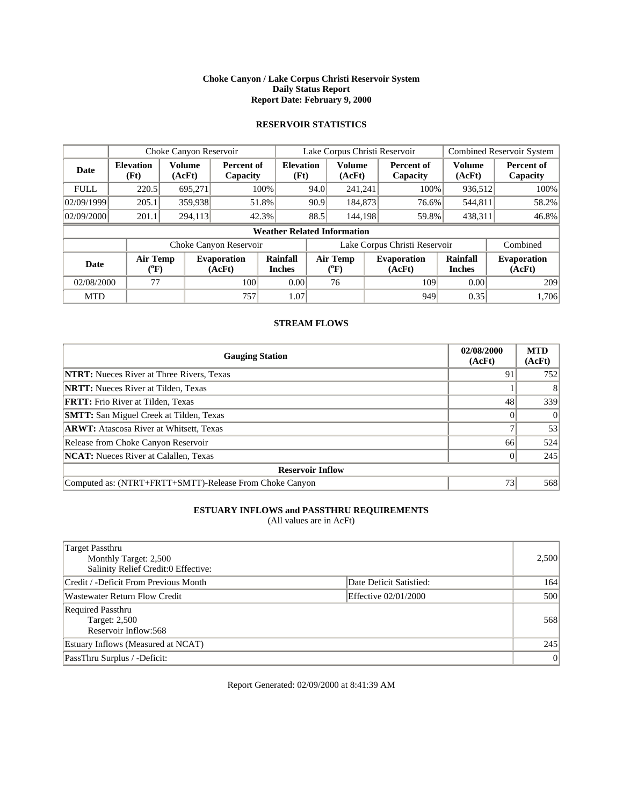### **Choke Canyon / Lake Corpus Christi Reservoir System Daily Status Report Report Date: February 9, 2000**

# **RESERVOIR STATISTICS**

|             | Choke Canyon Reservoir                |                         |                              |                                    | Lake Corpus Christi Reservoir |                                       |  |                               |                           | Combined Reservoir System    |  |
|-------------|---------------------------------------|-------------------------|------------------------------|------------------------------------|-------------------------------|---------------------------------------|--|-------------------------------|---------------------------|------------------------------|--|
| Date        | <b>Elevation</b><br>(Ft)              | <b>Volume</b><br>(AcFt) | Percent of<br>Capacity       | <b>Elevation</b><br>(Ft)           |                               | <b>Volume</b><br>(AcFt)               |  | Percent of<br>Capacity        | <b>Volume</b><br>(AcFt)   | Percent of<br>Capacity       |  |
| <b>FULL</b> | 220.5                                 | 695.271                 |                              | 100%                               | 94.0                          | 241,241                               |  | 100%                          | 936,512                   | 100%                         |  |
| 02/09/1999  | 205.1                                 | 359,938                 | 51.8%                        |                                    | 90.9                          | 184,873                               |  | 76.6%                         | 544,811                   | 58.2%                        |  |
| 02/09/2000  | 201.1                                 | 294,113                 | 42.3%                        |                                    | 88.5                          | 144,198                               |  | 59.8%                         | 438,311                   | 46.8%                        |  |
|             |                                       |                         |                              | <b>Weather Related Information</b> |                               |                                       |  |                               |                           |                              |  |
|             |                                       |                         | Choke Canyon Reservoir       |                                    |                               |                                       |  | Lake Corpus Christi Reservoir |                           | Combined                     |  |
| <b>Date</b> | <b>Air Temp</b><br>$({}^0\mathrm{F})$ |                         | <b>Evaporation</b><br>(AcFt) | <b>Rainfall</b><br><b>Inches</b>   |                               | <b>Air Temp</b><br>$({}^0\mathrm{F})$ |  | <b>Evaporation</b><br>(AcFt)  | Rainfall<br><b>Inches</b> | <b>Evaporation</b><br>(AcFt) |  |
| 02/08/2000  | 77                                    |                         | 100                          | 0.00                               |                               | 76                                    |  | 109                           | 0.00                      | 209                          |  |
| <b>MTD</b>  |                                       |                         | 757                          | 1.07                               |                               |                                       |  | 949                           | 0.35                      | 1,706                        |  |

### **STREAM FLOWS**

| <b>Gauging Station</b>                                  | 02/08/2000<br>(AcFt) | <b>MTD</b><br>(AcFt) |  |  |  |  |
|---------------------------------------------------------|----------------------|----------------------|--|--|--|--|
| <b>NTRT:</b> Nueces River at Three Rivers, Texas        | 91                   | 752                  |  |  |  |  |
| <b>NRTT:</b> Nueces River at Tilden, Texas              |                      |                      |  |  |  |  |
| <b>FRTT:</b> Frio River at Tilden, Texas                | 48                   | 339                  |  |  |  |  |
| <b>SMTT:</b> San Miguel Creek at Tilden, Texas          |                      | $\vert$ 0            |  |  |  |  |
| <b>ARWT:</b> Atascosa River at Whitsett, Texas          |                      | 53                   |  |  |  |  |
| Release from Choke Canyon Reservoir                     | 66                   | 524                  |  |  |  |  |
| <b>NCAT:</b> Nueces River at Calallen, Texas            |                      | 245                  |  |  |  |  |
| <b>Reservoir Inflow</b>                                 |                      |                      |  |  |  |  |
| Computed as: (NTRT+FRTT+SMTT)-Release From Choke Canyon | 73                   | 568                  |  |  |  |  |

# **ESTUARY INFLOWS and PASSTHRU REQUIREMENTS**

(All values are in AcFt)

| Target Passthru<br>Monthly Target: 2,500<br>Salinity Relief Credit:0 Effective: |                         | 2,500     |
|---------------------------------------------------------------------------------|-------------------------|-----------|
| Credit / -Deficit From Previous Month                                           | Date Deficit Satisfied: | 164       |
| Wastewater Return Flow Credit                                                   | Effective 02/01/2000    | 500       |
| Required Passthru<br><b>Target: 2,500</b><br>Reservoir Inflow:568               |                         | 568       |
| Estuary Inflows (Measured at NCAT)                                              |                         | 245       |
| PassThru Surplus / -Deficit:                                                    |                         | $\vert$ 0 |

Report Generated: 02/09/2000 at 8:41:39 AM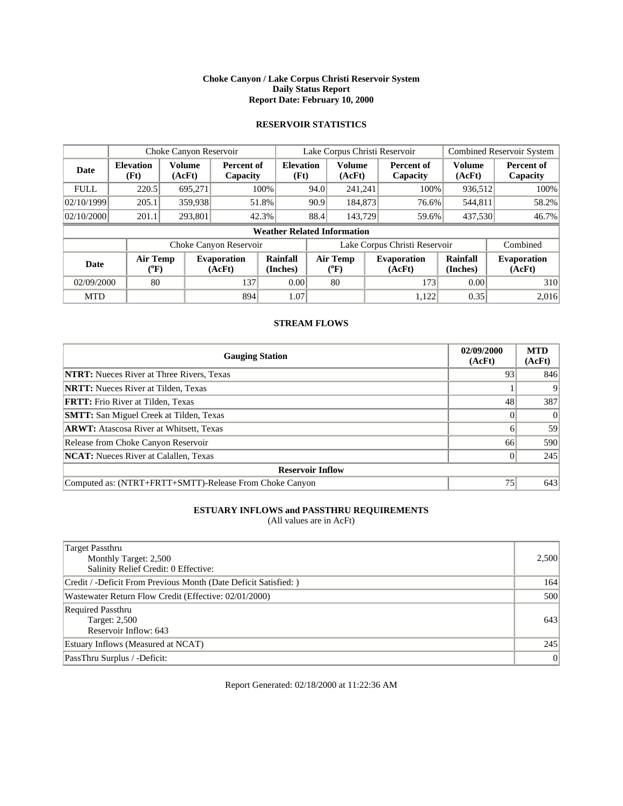### **Choke Canyon / Lake Corpus Christi Reservoir System Daily Status Report Report Date: February 10, 2000**

# **RESERVOIR STATISTICS**

|             | Choke Canyon Reservoir         |                         |                               |                                    | Lake Corpus Christi Reservoir |                              |  |                               |                         | Combined Reservoir System    |  |
|-------------|--------------------------------|-------------------------|-------------------------------|------------------------------------|-------------------------------|------------------------------|--|-------------------------------|-------------------------|------------------------------|--|
| Date        | <b>Elevation</b><br>(Ft)       | <b>Volume</b><br>(AcFt) | <b>Percent of</b><br>Capacity | <b>Elevation</b><br>(Ft)           |                               | Volume<br>(AcFt)             |  | Percent of<br>Capacity        | <b>Volume</b><br>(AcFt) | Percent of<br>Capacity       |  |
| <b>FULL</b> | 220.5                          | 695.271                 |                               | $100\%$                            | 94.0                          | 241.241                      |  | 100%                          | 936,512                 | 100%                         |  |
| 02/10/1999  | 205.1                          | 359,938                 |                               | 51.8%                              | 90.9                          | 184,873                      |  | 76.6%                         | 544,811                 | 58.2%                        |  |
| 02/10/2000  | 201.1                          | 293,801                 |                               | 42.3%                              | 88.4                          | 143,729                      |  | 59.6%                         | 437,530                 | 46.7%                        |  |
|             |                                |                         |                               | <b>Weather Related Information</b> |                               |                              |  |                               |                         |                              |  |
|             |                                |                         | Choke Canyon Reservoir        |                                    |                               |                              |  | Lake Corpus Christi Reservoir |                         | Combined                     |  |
| <b>Date</b> | Air Temp<br>$({}^0\mathrm{F})$ |                         | <b>Evaporation</b><br>(AcFt)  | Rainfall<br>(Inches)               |                               | <b>Air Temp</b><br>$(^{0}F)$ |  | <b>Evaporation</b><br>(AcFt)  | Rainfall<br>(Inches)    | <b>Evaporation</b><br>(AcFt) |  |
| 02/09/2000  | 80                             |                         | 137                           | 0.00                               |                               | 80                           |  | 173                           | 0.00                    | 310                          |  |
| <b>MTD</b>  |                                |                         | 894                           | 1.07                               |                               |                              |  | 1.122                         | 0.35                    | 2,016                        |  |

### **STREAM FLOWS**

| <b>Gauging Station</b>                                  | 02/09/2000<br>(AcFt) | <b>MTD</b><br>(AcFt) |  |  |  |  |
|---------------------------------------------------------|----------------------|----------------------|--|--|--|--|
| <b>NTRT:</b> Nueces River at Three Rivers, Texas        | 93                   | 846                  |  |  |  |  |
| <b>NRTT:</b> Nueces River at Tilden, Texas              |                      |                      |  |  |  |  |
| <b>FRTT:</b> Frio River at Tilden, Texas                | 48                   | 387                  |  |  |  |  |
| <b>SMTT:</b> San Miguel Creek at Tilden, Texas          |                      | $\theta$             |  |  |  |  |
| <b>ARWT:</b> Atascosa River at Whitsett, Texas          |                      | 59                   |  |  |  |  |
| Release from Choke Canyon Reservoir                     | 66                   | 590                  |  |  |  |  |
| <b>NCAT:</b> Nueces River at Calallen, Texas            |                      | 245                  |  |  |  |  |
| <b>Reservoir Inflow</b>                                 |                      |                      |  |  |  |  |
| Computed as: (NTRT+FRTT+SMTT)-Release From Choke Canyon | 75                   | 643                  |  |  |  |  |

# **ESTUARY INFLOWS and PASSTHRU REQUIREMENTS**

(All values are in AcFt)

| Target Passthru<br>Monthly Target: 2,500<br>Salinity Relief Credit: 0 Effective: | 2,500 |
|----------------------------------------------------------------------------------|-------|
| Credit / -Deficit From Previous Month (Date Deficit Satisfied: )                 | 164   |
| Wastewater Return Flow Credit (Effective: 02/01/2000)                            | 500   |
| Required Passthru<br>Target: 2,500<br>Reservoir Inflow: 643                      | 643   |
| Estuary Inflows (Measured at NCAT)                                               | 245   |
| PassThru Surplus / -Deficit:                                                     | 0     |

Report Generated: 02/18/2000 at 11:22:36 AM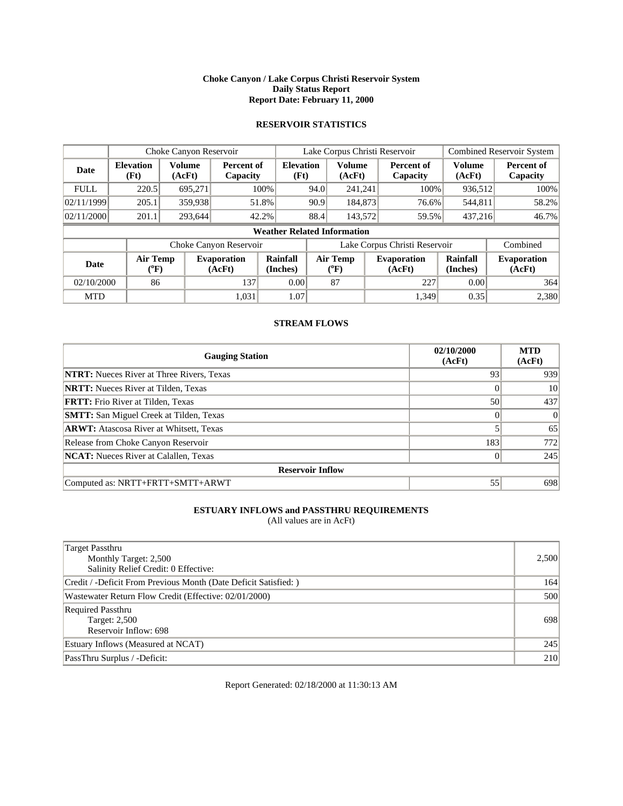### **Choke Canyon / Lake Corpus Christi Reservoir System Daily Status Report Report Date: February 11, 2000**

# **RESERVOIR STATISTICS**

|             | Choke Canyon Reservoir                |                         |                              |                                    | Lake Corpus Christi Reservoir |                                       |  |                               | <b>Combined Reservoir System</b> |                              |
|-------------|---------------------------------------|-------------------------|------------------------------|------------------------------------|-------------------------------|---------------------------------------|--|-------------------------------|----------------------------------|------------------------------|
| Date        | <b>Elevation</b><br>(Ft)              | <b>Volume</b><br>(AcFt) | Percent of<br>Capacity       | <b>Elevation</b><br>(Ft)           |                               | <b>Volume</b><br>(AcFt)               |  | Percent of<br>Capacity        | Volume<br>(AcFt)                 | Percent of<br>Capacity       |
| <b>FULL</b> | 220.5                                 | 695,271                 | $100\%$                      |                                    | 94.0                          | 241,241                               |  | 100%                          | 936,512                          | 100%                         |
| 02/11/1999  | 205.1                                 | 359,938                 | 51.8%                        |                                    | 90.9                          | 184,873                               |  | 76.6%                         | 544,811                          | 58.2%                        |
| 02/11/2000  | 201.1                                 | 293,644                 | 42.2%                        |                                    | 88.4                          | 143,572                               |  | 59.5%                         | 437,216                          | 46.7%                        |
|             |                                       |                         |                              | <b>Weather Related Information</b> |                               |                                       |  |                               |                                  |                              |
|             |                                       |                         | Choke Canyon Reservoir       |                                    |                               |                                       |  | Lake Corpus Christi Reservoir |                                  | Combined                     |
| <b>Date</b> | <b>Air Temp</b><br>$({}^0\mathrm{F})$ |                         | <b>Evaporation</b><br>(AcFt) | Rainfall<br>(Inches)               |                               | <b>Air Temp</b><br>$({}^o\mathrm{F})$ |  | <b>Evaporation</b><br>(AcFt)  | <b>Rainfall</b><br>(Inches)      | <b>Evaporation</b><br>(AcFt) |
| 02/10/2000  | 86                                    |                         | 137                          | 0.00                               |                               | 87                                    |  | 227                           | 0.00                             | 364                          |
| <b>MTD</b>  |                                       |                         | 1,031                        | 1.07                               |                               |                                       |  | 1,349                         | 0.35                             | 2,380                        |

### **STREAM FLOWS**

| <b>Gauging Station</b>                           | 02/10/2000<br>(AcFt) | <b>MTD</b><br>(AcFt) |  |  |  |  |  |
|--------------------------------------------------|----------------------|----------------------|--|--|--|--|--|
| <b>NTRT:</b> Nueces River at Three Rivers, Texas | 93                   | 939                  |  |  |  |  |  |
| <b>NRTT:</b> Nueces River at Tilden, Texas       |                      | 10                   |  |  |  |  |  |
| <b>FRTT:</b> Frio River at Tilden, Texas         | 50                   | 437                  |  |  |  |  |  |
| <b>SMTT:</b> San Miguel Creek at Tilden, Texas   |                      | $\Omega$             |  |  |  |  |  |
| <b>ARWT:</b> Atascosa River at Whitsett, Texas   |                      | 65                   |  |  |  |  |  |
| Release from Choke Canyon Reservoir              | 183                  | 772                  |  |  |  |  |  |
| <b>NCAT:</b> Nueces River at Calallen, Texas     |                      | 245                  |  |  |  |  |  |
| <b>Reservoir Inflow</b>                          |                      |                      |  |  |  |  |  |
| Computed as: NRTT+FRTT+SMTT+ARWT                 | 55                   | 698                  |  |  |  |  |  |

# **ESTUARY INFLOWS and PASSTHRU REQUIREMENTS**

(All values are in AcFt)

| Target Passthru<br>Monthly Target: 2,500<br>Salinity Relief Credit: 0 Effective: | 2,500 |
|----------------------------------------------------------------------------------|-------|
| Credit / -Deficit From Previous Month (Date Deficit Satisfied: )                 | 164   |
| Wastewater Return Flow Credit (Effective: 02/01/2000)                            | 500   |
| Required Passthru<br>Target: 2,500<br>Reservoir Inflow: 698                      | 698   |
| Estuary Inflows (Measured at NCAT)                                               | 245   |
| PassThru Surplus / -Deficit:                                                     | 210   |

Report Generated: 02/18/2000 at 11:30:13 AM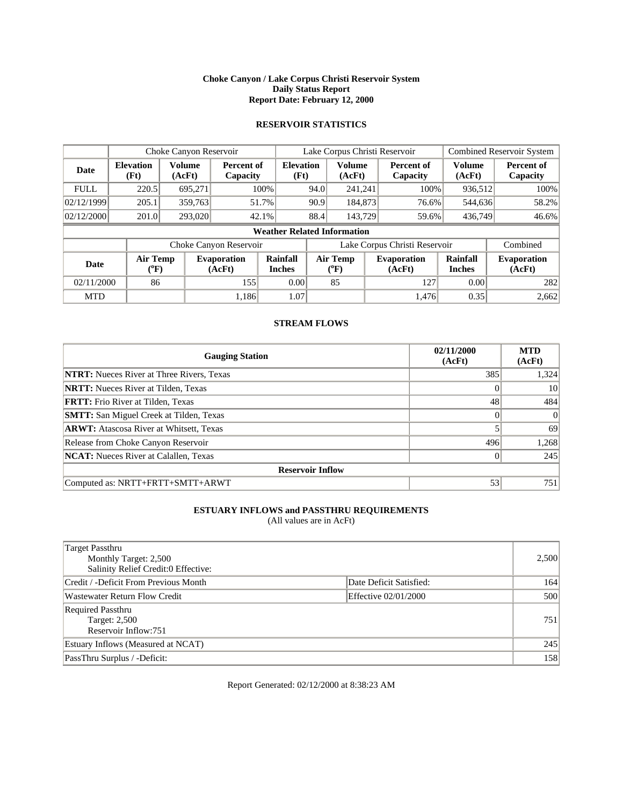### **Choke Canyon / Lake Corpus Christi Reservoir System Daily Status Report Report Date: February 12, 2000**

# **RESERVOIR STATISTICS**

|             | Choke Canyon Reservoir                |                         |                               |                                    | Lake Corpus Christi Reservoir |                                       |  |                               | <b>Combined Reservoir System</b> |                              |
|-------------|---------------------------------------|-------------------------|-------------------------------|------------------------------------|-------------------------------|---------------------------------------|--|-------------------------------|----------------------------------|------------------------------|
| Date        | <b>Elevation</b><br>(Ft)              | <b>Volume</b><br>(AcFt) | <b>Percent of</b><br>Capacity | <b>Elevation</b><br>(Ft)           |                               | Volume<br>(AcFt)                      |  | Percent of<br>Capacity        | <b>Volume</b><br>(AcFt)          | Percent of<br>Capacity       |
| <b>FULL</b> | 220.5                                 | 695.271                 |                               | $100\%$                            | 94.0                          | 241,241                               |  | 100%                          | 936,512                          | 100%                         |
| 02/12/1999  | 205.1                                 | 359,763                 | 51.7%                         |                                    | 90.9                          | 184,873                               |  | 76.6%                         | 544,636                          | 58.2%                        |
| 02/12/2000  | 201.0                                 | 293,020                 | 42.1%                         |                                    | 88.4                          | 143,729                               |  | 59.6%                         | 436,749                          | $46.6\%$                     |
|             |                                       |                         |                               | <b>Weather Related Information</b> |                               |                                       |  |                               |                                  |                              |
|             |                                       |                         | Choke Canyon Reservoir        |                                    |                               |                                       |  | Lake Corpus Christi Reservoir |                                  | Combined                     |
| <b>Date</b> | <b>Air Temp</b><br>$({}^0\mathrm{F})$ |                         | <b>Evaporation</b><br>(AcFt)  | Rainfall<br><b>Inches</b>          |                               | <b>Air Temp</b><br>$({}^o\mathrm{F})$ |  | <b>Evaporation</b><br>(AcFt)  | <b>Rainfall</b><br><b>Inches</b> | <b>Evaporation</b><br>(AcFt) |
| 02/11/2000  | 86                                    |                         | 155                           | 0.00                               |                               | 85                                    |  | 127                           | 0.00                             | 282                          |
| <b>MTD</b>  |                                       |                         | 1,186                         | 1.07                               |                               |                                       |  | 1,476                         | 0.35                             | 2,662                        |

### **STREAM FLOWS**

| <b>Gauging Station</b>                           | 02/11/2000<br>(AcFt) | <b>MTD</b><br>(AcFt) |  |  |  |  |  |
|--------------------------------------------------|----------------------|----------------------|--|--|--|--|--|
| <b>NTRT:</b> Nueces River at Three Rivers, Texas | 385                  | 1,324                |  |  |  |  |  |
| <b>NRTT:</b> Nueces River at Tilden, Texas       |                      | 10                   |  |  |  |  |  |
| <b>FRTT:</b> Frio River at Tilden, Texas         | 48                   | 484                  |  |  |  |  |  |
| <b>SMTT:</b> San Miguel Creek at Tilden, Texas   |                      | $\Omega$             |  |  |  |  |  |
| <b>ARWT:</b> Atascosa River at Whitsett, Texas   |                      | 69                   |  |  |  |  |  |
| Release from Choke Canyon Reservoir              | 496                  | 1,268                |  |  |  |  |  |
| <b>NCAT:</b> Nueces River at Calallen, Texas     |                      | 245                  |  |  |  |  |  |
| <b>Reservoir Inflow</b>                          |                      |                      |  |  |  |  |  |
| Computed as: NRTT+FRTT+SMTT+ARWT                 | 53                   | 751                  |  |  |  |  |  |

# **ESTUARY INFLOWS and PASSTHRU REQUIREMENTS**

(All values are in AcFt)

| <b>Target Passthru</b><br>Monthly Target: 2,500<br>Salinity Relief Credit:0 Effective: |                         | 2,500 |
|----------------------------------------------------------------------------------------|-------------------------|-------|
| Credit / -Deficit From Previous Month                                                  | Date Deficit Satisfied: | 164   |
| <b>Wastewater Return Flow Credit</b>                                                   | Effective 02/01/2000    | 500   |
| Required Passthru<br>Target: 2,500<br>Reservoir Inflow:751                             |                         | 751   |
| Estuary Inflows (Measured at NCAT)                                                     |                         | 245   |
| PassThru Surplus / -Deficit:                                                           |                         | 158   |

Report Generated: 02/12/2000 at 8:38:23 AM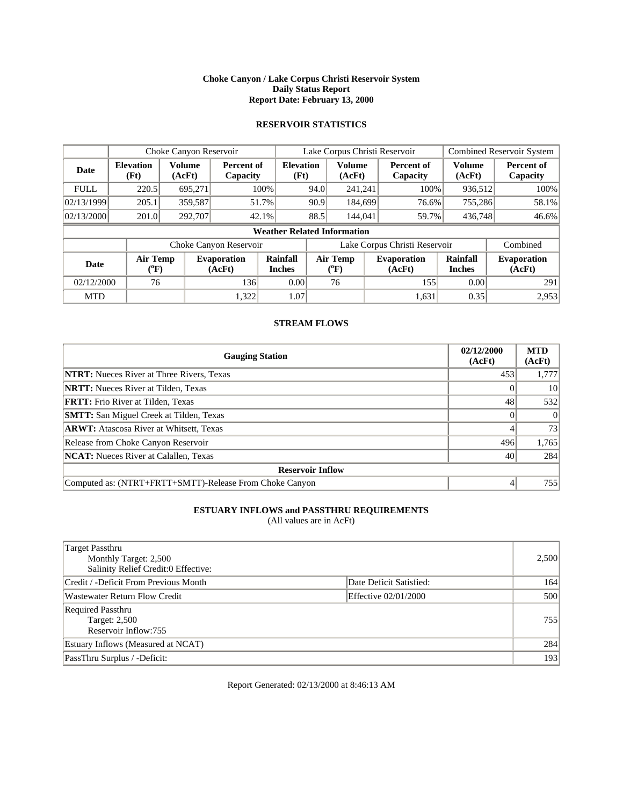### **Choke Canyon / Lake Corpus Christi Reservoir System Daily Status Report Report Date: February 13, 2000**

# **RESERVOIR STATISTICS**

|             | Choke Canyon Reservoir         |                  |                              |                                    | Lake Corpus Christi Reservoir |                                |  |                               |                           | <b>Combined Reservoir System</b> |  |
|-------------|--------------------------------|------------------|------------------------------|------------------------------------|-------------------------------|--------------------------------|--|-------------------------------|---------------------------|----------------------------------|--|
| Date        | <b>Elevation</b><br>(Ft)       | Volume<br>(AcFt) | Percent of<br>Capacity       | <b>Elevation</b><br>(Ft)           |                               | <b>Volume</b><br>(AcFt)        |  | <b>Percent of</b><br>Capacity | <b>Volume</b><br>(AcFt)   | Percent of<br>Capacity           |  |
| <b>FULL</b> | 220.5                          | 695,271          | $100\%$                      |                                    | 94.0                          | 241.241                        |  | 100%                          | 936,512                   | 100%                             |  |
| 02/13/1999  | 205.1                          | 359,587          | 51.7%                        |                                    | 90.9                          | 184,699                        |  | 76.6%                         | 755,286                   | 58.1%                            |  |
| 02/13/2000  | 201.0                          | 292,707          | $42.1\%$                     |                                    | 88.5                          | 144,041                        |  | 59.7%                         | 436,748                   | 46.6%                            |  |
|             |                                |                  |                              | <b>Weather Related Information</b> |                               |                                |  |                               |                           |                                  |  |
|             |                                |                  | Choke Canyon Reservoir       |                                    |                               |                                |  | Lake Corpus Christi Reservoir |                           | Combined                         |  |
| <b>Date</b> | Air Temp<br>$({}^0\mathrm{F})$ |                  | <b>Evaporation</b><br>(AcFt) | <b>Rainfall</b><br><b>Inches</b>   |                               | Air Temp<br>$({}^0\mathrm{F})$ |  | <b>Evaporation</b><br>(AcFt)  | Rainfall<br><b>Inches</b> | <b>Evaporation</b><br>(AcFt)     |  |
| 02/12/2000  | 76                             |                  | 136                          | 0.00                               |                               | 76                             |  | 155                           | 0.00                      | 291                              |  |
| <b>MTD</b>  |                                |                  | 1,322                        | 1.07                               |                               |                                |  | 1,631                         | 0.35                      | 2,953                            |  |

### **STREAM FLOWS**

| <b>Gauging Station</b>                                  | 02/12/2000<br>(AcFt) | <b>MTD</b><br>(AcFt) |
|---------------------------------------------------------|----------------------|----------------------|
| <b>NTRT:</b> Nueces River at Three Rivers, Texas        | 453                  | 1,777                |
| <b>NRTT:</b> Nueces River at Tilden, Texas              |                      | 10                   |
| <b>FRTT:</b> Frio River at Tilden, Texas                | 48                   | 532                  |
| <b>SMTT:</b> San Miguel Creek at Tilden, Texas          |                      | -01                  |
| <b>ARWT:</b> Atascosa River at Whitsett, Texas          |                      | 73                   |
| Release from Choke Canyon Reservoir                     | 496                  | 1,765                |
| <b>NCAT:</b> Nueces River at Calallen, Texas            | 40                   | 284                  |
| <b>Reservoir Inflow</b>                                 |                      |                      |
| Computed as: (NTRT+FRTT+SMTT)-Release From Choke Canyon |                      | 755                  |

# **ESTUARY INFLOWS and PASSTHRU REQUIREMENTS**

(All values are in AcFt)

| <b>Target Passthru</b><br>Monthly Target: 2,500<br>Salinity Relief Credit:0 Effective: |                         | 2,500 |
|----------------------------------------------------------------------------------------|-------------------------|-------|
| Credit / -Deficit From Previous Month                                                  | Date Deficit Satisfied: | 164   |
| Wastewater Return Flow Credit                                                          | Effective 02/01/2000    | 500   |
| Required Passthru<br><b>Target: 2,500</b><br>Reservoir Inflow:755                      |                         | 755   |
| Estuary Inflows (Measured at NCAT)                                                     |                         | 284   |
| PassThru Surplus / -Deficit:                                                           |                         | 193   |

Report Generated: 02/13/2000 at 8:46:13 AM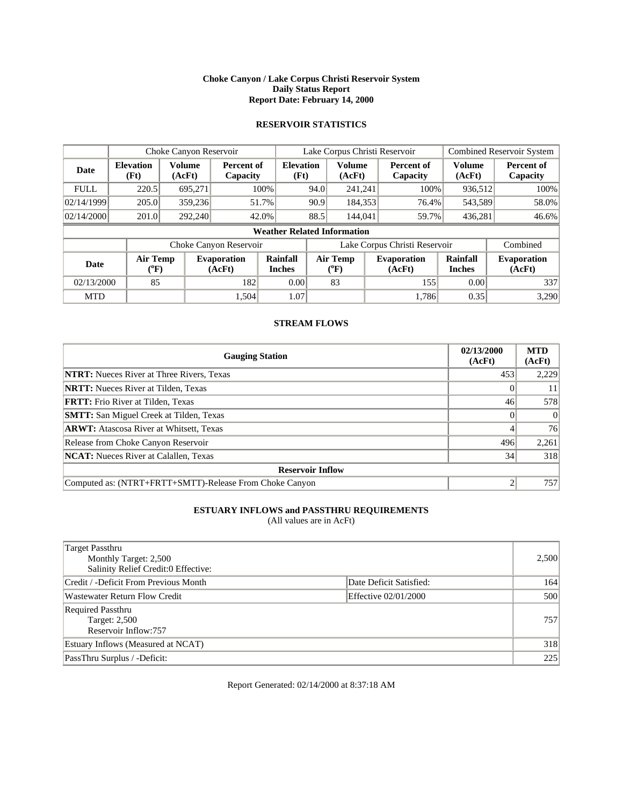### **Choke Canyon / Lake Corpus Christi Reservoir System Daily Status Report Report Date: February 14, 2000**

# **RESERVOIR STATISTICS**

|             | Choke Canyon Reservoir                |                         |                              |                                    | Lake Corpus Christi Reservoir |                                       |  |                               |                                  | <b>Combined Reservoir System</b> |  |
|-------------|---------------------------------------|-------------------------|------------------------------|------------------------------------|-------------------------------|---------------------------------------|--|-------------------------------|----------------------------------|----------------------------------|--|
| Date        | <b>Elevation</b><br>(Ft)              | <b>Volume</b><br>(AcFt) | Percent of<br>Capacity       | <b>Elevation</b><br>(Ft)           |                               | Volume<br>(AcFt)                      |  | <b>Percent of</b><br>Capacity | Volume<br>(AcFt)                 | Percent of<br>Capacity           |  |
| <b>FULL</b> | 220.5                                 | 695.271                 |                              | $100\%$                            | 94.0                          | 241,241                               |  | 100%                          | 936,512                          | 100%                             |  |
| 02/14/1999  | 205.0                                 | 359,236                 |                              | 51.7%                              | 90.9                          | 184,353                               |  | 76.4%                         | 543,589                          | 58.0%                            |  |
| 02/14/2000  | 201.0                                 | 292,240                 |                              | 42.0%                              | 88.5                          | 144,041                               |  | 59.7%                         | 436,281                          | 46.6%                            |  |
|             |                                       |                         |                              | <b>Weather Related Information</b> |                               |                                       |  |                               |                                  |                                  |  |
|             |                                       |                         | Choke Canyon Reservoir       |                                    |                               |                                       |  | Lake Corpus Christi Reservoir |                                  | Combined                         |  |
| <b>Date</b> | <b>Air Temp</b><br>$({}^0\mathrm{F})$ |                         | <b>Evaporation</b><br>(AcFt) | Rainfall<br><b>Inches</b>          |                               | <b>Air Temp</b><br>$({}^o\mathrm{F})$ |  | <b>Evaporation</b><br>(AcFt)  | <b>Rainfall</b><br><b>Inches</b> | <b>Evaporation</b><br>(AcFt)     |  |
| 02/13/2000  | 85                                    |                         | 182                          | 0.00                               |                               | 83                                    |  | 155                           | 0.00                             | 337                              |  |
| <b>MTD</b>  |                                       |                         | 1.504                        | 1.07                               |                               |                                       |  | 1,786                         | 0.35                             | 3,290                            |  |

### **STREAM FLOWS**

| <b>Gauging Station</b>                                  | 02/13/2000<br>(AcFt) | <b>MTD</b><br>(AcFt) |
|---------------------------------------------------------|----------------------|----------------------|
| <b>NTRT:</b> Nueces River at Three Rivers, Texas        | 453                  | 2,229                |
| <b>NRTT:</b> Nueces River at Tilden, Texas              |                      |                      |
| <b>FRTT:</b> Frio River at Tilden, Texas                | 46                   | 578                  |
| <b>SMTT:</b> San Miguel Creek at Tilden, Texas          |                      | $\Omega$             |
| <b>ARWT:</b> Atascosa River at Whitsett, Texas          |                      | 76                   |
| Release from Choke Canyon Reservoir                     | 496                  | 2,261                |
| <b>NCAT:</b> Nueces River at Calallen, Texas            | 34                   | 318                  |
| <b>Reservoir Inflow</b>                                 |                      |                      |
| Computed as: (NTRT+FRTT+SMTT)-Release From Choke Canyon | ◠                    | 757                  |

# **ESTUARY INFLOWS and PASSTHRU REQUIREMENTS**

(All values are in AcFt)

| Target Passthru<br>Monthly Target: 2,500<br>Salinity Relief Credit:0 Effective: |                         | 2,500 |
|---------------------------------------------------------------------------------|-------------------------|-------|
| Credit / -Deficit From Previous Month                                           | Date Deficit Satisfied: | 164   |
| Wastewater Return Flow Credit                                                   | Effective 02/01/2000    | 500   |
| Required Passthru<br><b>Target: 2,500</b><br>Reservoir Inflow:757               |                         | 757   |
| Estuary Inflows (Measured at NCAT)                                              |                         | 318   |
| PassThru Surplus / -Deficit:                                                    |                         | 225   |

Report Generated: 02/14/2000 at 8:37:18 AM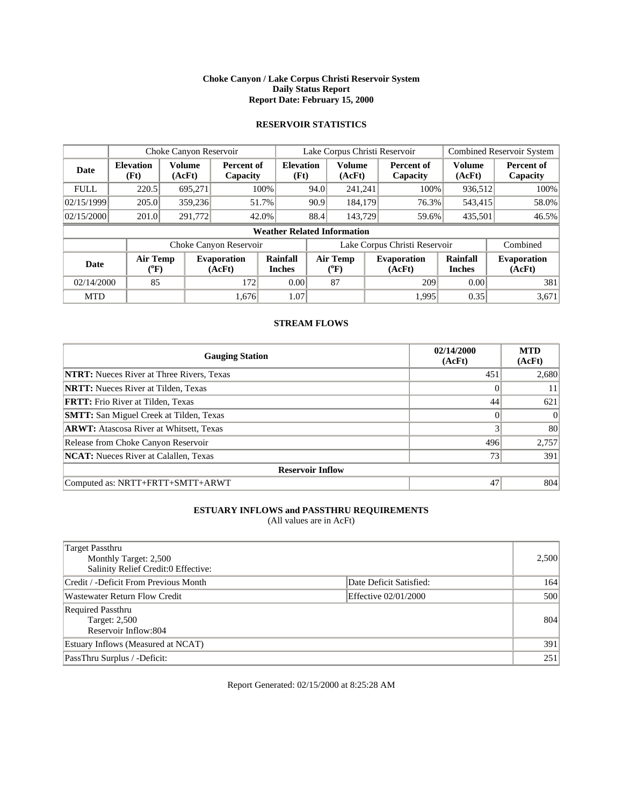### **Choke Canyon / Lake Corpus Christi Reservoir System Daily Status Report Report Date: February 15, 2000**

# **RESERVOIR STATISTICS**

|                                                      | Choke Canyon Reservoir   |                         |                              |                                    | Lake Corpus Christi Reservoir |                                       |  |                               |                                  | <b>Combined Reservoir System</b> |  |
|------------------------------------------------------|--------------------------|-------------------------|------------------------------|------------------------------------|-------------------------------|---------------------------------------|--|-------------------------------|----------------------------------|----------------------------------|--|
| Date                                                 | <b>Elevation</b><br>(Ft) | <b>Volume</b><br>(AcFt) | Percent of<br>Capacity       | <b>Elevation</b><br>(Ft)           |                               | <b>Volume</b><br>(AcFt)               |  | Percent of<br>Capacity        | Volume<br>(AcFt)                 | Percent of<br>Capacity           |  |
| <b>FULL</b>                                          | 220.5                    | 695,271                 | $100\%$                      |                                    | 94.0                          | 241,241                               |  | 100%                          | 936,512                          | 100%                             |  |
| 02/15/1999                                           | 205.0                    | 359,236                 | 51.7%                        |                                    | 90.9                          | 184,179                               |  | 76.3%                         | 543,415                          | 58.0%                            |  |
| 02/15/2000                                           | 201.0                    | 291,772                 | $42.0\%$                     |                                    | 88.4                          | 143,729                               |  | 59.6%                         | 435,501                          | 46.5%                            |  |
|                                                      |                          |                         |                              | <b>Weather Related Information</b> |                               |                                       |  |                               |                                  |                                  |  |
|                                                      |                          |                         | Choke Canyon Reservoir       |                                    |                               |                                       |  | Lake Corpus Christi Reservoir |                                  | Combined                         |  |
| <b>Air Temp</b><br><b>Date</b><br>$({}^o\mathrm{F})$ |                          |                         | <b>Evaporation</b><br>(AcFt) | Rainfall<br><b>Inches</b>          |                               | <b>Air Temp</b><br>$({}^o\mathrm{F})$ |  | <b>Evaporation</b><br>(AcFt)  | <b>Rainfall</b><br><b>Inches</b> | <b>Evaporation</b><br>(AcFt)     |  |
| 02/14/2000                                           | 85                       |                         | 172                          | 0.00                               |                               | 87                                    |  | 209                           | 0.00                             | 381                              |  |
| <b>MTD</b>                                           |                          |                         | 1,676                        | 1.07                               |                               |                                       |  | 1,995                         | 0.35                             | 3,671                            |  |

### **STREAM FLOWS**

| <b>Gauging Station</b>                           | 02/14/2000<br>(AcFt) | <b>MTD</b><br>(AcFt) |  |  |  |  |  |
|--------------------------------------------------|----------------------|----------------------|--|--|--|--|--|
| <b>NTRT:</b> Nueces River at Three Rivers, Texas | 451                  | 2,680                |  |  |  |  |  |
| <b>NRTT:</b> Nueces River at Tilden, Texas       |                      |                      |  |  |  |  |  |
| <b>FRTT:</b> Frio River at Tilden, Texas         | 44                   | 621                  |  |  |  |  |  |
| <b>SMTT:</b> San Miguel Creek at Tilden, Texas   |                      | $\Omega$             |  |  |  |  |  |
| <b>ARWT:</b> Atascosa River at Whitsett, Texas   |                      | 80                   |  |  |  |  |  |
| Release from Choke Canyon Reservoir              | 496                  | 2,757                |  |  |  |  |  |
| <b>NCAT:</b> Nueces River at Calallen, Texas     | 73                   | 391                  |  |  |  |  |  |
| <b>Reservoir Inflow</b>                          |                      |                      |  |  |  |  |  |
| Computed as: NRTT+FRTT+SMTT+ARWT                 | 47                   | 804                  |  |  |  |  |  |

# **ESTUARY INFLOWS and PASSTHRU REQUIREMENTS**

(All values are in AcFt)

| <b>Target Passthru</b><br>Monthly Target: 2,500<br>Salinity Relief Credit:0 Effective: |                         | 2,500 |
|----------------------------------------------------------------------------------------|-------------------------|-------|
| Credit / -Deficit From Previous Month                                                  | Date Deficit Satisfied: | 164   |
| Wastewater Return Flow Credit                                                          | Effective 02/01/2000    | 500   |
| Required Passthru<br>Target: 2,500<br>Reservoir Inflow:804                             |                         | 804   |
| Estuary Inflows (Measured at NCAT)                                                     |                         | 391   |
| PassThru Surplus / -Deficit:                                                           |                         | 251   |

Report Generated: 02/15/2000 at 8:25:28 AM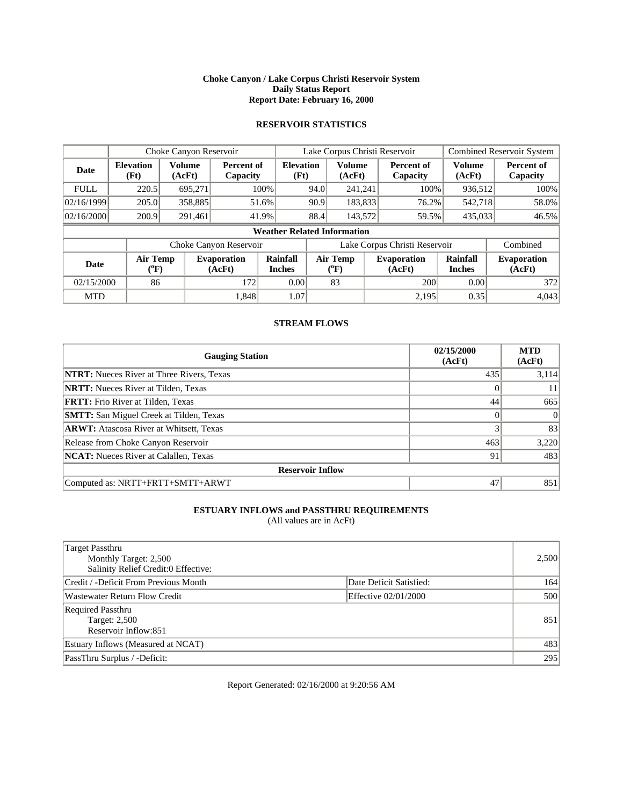### **Choke Canyon / Lake Corpus Christi Reservoir System Daily Status Report Report Date: February 16, 2000**

# **RESERVOIR STATISTICS**

|                                                      | Choke Canyon Reservoir   |                         |                                                           |                          | Lake Corpus Christi Reservoir |                                       |  |                               |                                  | <b>Combined Reservoir System</b> |  |
|------------------------------------------------------|--------------------------|-------------------------|-----------------------------------------------------------|--------------------------|-------------------------------|---------------------------------------|--|-------------------------------|----------------------------------|----------------------------------|--|
| Date                                                 | <b>Elevation</b><br>(Ft) | <b>Volume</b><br>(AcFt) | Percent of<br>Capacity                                    | <b>Elevation</b><br>(Ft) |                               | <b>Volume</b><br>(AcFt)               |  | Percent of<br>Capacity        | <b>Volume</b><br>(AcFt)          | Percent of<br>Capacity           |  |
| <b>FULL</b>                                          | 220.5                    | 695.271                 | $100\%$                                                   |                          | 94.0                          | 241,241                               |  | 100%                          | 936,512                          | 100%                             |  |
| 02/16/1999                                           | 205.0                    | 358,885                 | 51.6%                                                     |                          | 90.9                          | 183,833                               |  | 76.2%                         | 542.718                          | 58.0%                            |  |
| 02/16/2000                                           | 200.9                    | 291,461                 | 41.9%                                                     |                          | 88.4                          | 143,572                               |  | 59.5%                         | 435,033                          | 46.5%                            |  |
| <b>Weather Related Information</b>                   |                          |                         |                                                           |                          |                               |                                       |  |                               |                                  |                                  |  |
|                                                      |                          |                         | Choke Canyon Reservoir                                    |                          |                               |                                       |  | Lake Corpus Christi Reservoir |                                  | Combined                         |  |
| <b>Air Temp</b><br><b>Date</b><br>$({}^0\mathrm{F})$ |                          |                         | Rainfall<br><b>Evaporation</b><br><b>Inches</b><br>(AcFt) |                          |                               | <b>Air Temp</b><br>$({}^o\mathrm{F})$ |  | <b>Evaporation</b><br>(AcFt)  | <b>Rainfall</b><br><b>Inches</b> | <b>Evaporation</b><br>(AcFt)     |  |
| 02/15/2000                                           | 86                       |                         | 172                                                       | 0.00                     |                               | 83                                    |  | 200                           | 0.00                             | 372                              |  |
| <b>MTD</b>                                           |                          |                         | 1,848                                                     | 1.07                     |                               |                                       |  | 2,195                         | 0.35                             | 4,043                            |  |

### **STREAM FLOWS**

| <b>Gauging Station</b>                           | 02/15/2000<br>(AcFt) | <b>MTD</b><br>(AcFt) |  |  |  |  |  |
|--------------------------------------------------|----------------------|----------------------|--|--|--|--|--|
| <b>NTRT:</b> Nueces River at Three Rivers, Texas | 435                  | 3,114                |  |  |  |  |  |
| <b>NRTT:</b> Nueces River at Tilden, Texas       |                      | 11                   |  |  |  |  |  |
| <b>FRTT:</b> Frio River at Tilden, Texas         | 44                   | 665                  |  |  |  |  |  |
| <b>SMTT:</b> San Miguel Creek at Tilden, Texas   |                      | $\Omega$             |  |  |  |  |  |
| <b>ARWT:</b> Atascosa River at Whitsett, Texas   |                      | 83                   |  |  |  |  |  |
| Release from Choke Canyon Reservoir              | 463                  | 3,220                |  |  |  |  |  |
| <b>NCAT:</b> Nueces River at Calallen, Texas     | 91                   | 483                  |  |  |  |  |  |
| <b>Reservoir Inflow</b>                          |                      |                      |  |  |  |  |  |
| Computed as: NRTT+FRTT+SMTT+ARWT                 | 47                   | 851                  |  |  |  |  |  |

# **ESTUARY INFLOWS and PASSTHRU REQUIREMENTS**

(All values are in AcFt)

| Target Passthru<br>Monthly Target: 2,500<br>Salinity Relief Credit:0 Effective: |                         | 2,500 |
|---------------------------------------------------------------------------------|-------------------------|-------|
| Credit / -Deficit From Previous Month                                           | Date Deficit Satisfied: | 164   |
| Wastewater Return Flow Credit                                                   | Effective 02/01/2000    | 500   |
| Required Passthru<br>Target: 2,500<br>Reservoir Inflow:851                      |                         | 851   |
| Estuary Inflows (Measured at NCAT)                                              |                         | 483   |
| PassThru Surplus / -Deficit:                                                    |                         | 295   |

Report Generated: 02/16/2000 at 9:20:56 AM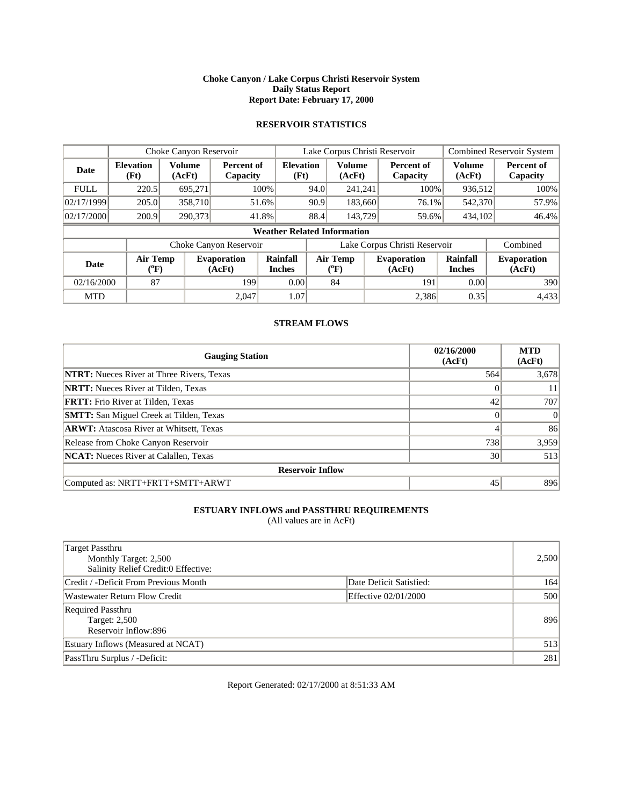### **Choke Canyon / Lake Corpus Christi Reservoir System Daily Status Report Report Date: February 17, 2000**

# **RESERVOIR STATISTICS**

|             |                                       | Choke Canyon Reservoir  |                              |                                    |      | Lake Corpus Christi Reservoir         |                               | <b>Combined Reservoir System</b> |                              |
|-------------|---------------------------------------|-------------------------|------------------------------|------------------------------------|------|---------------------------------------|-------------------------------|----------------------------------|------------------------------|
| Date        | <b>Elevation</b><br>(Ft)              | <b>Volume</b><br>(AcFt) | Percent of<br>Capacity       | <b>Elevation</b><br>(Ft)           |      | <b>Volume</b><br>(AcFt)               | Percent of<br>Capacity        | Volume<br>(AcFt)                 | Percent of<br>Capacity       |
| <b>FULL</b> | 220.5                                 | 695,271                 |                              | $100\%$                            | 94.0 | 241,241                               | 100%                          | 936,512                          | 100%                         |
| 02/17/1999  | 205.0                                 | 358,710                 | 51.6%                        |                                    | 90.9 | 183,660                               | 76.1%                         | 542,370                          | 57.9%                        |
| 02/17/2000  | 200.9                                 | 290,373                 | 41.8%                        |                                    | 88.4 | 143,729                               | 59.6%                         | 434,102                          | $46.4\%$                     |
|             |                                       |                         |                              | <b>Weather Related Information</b> |      |                                       |                               |                                  |                              |
|             |                                       |                         | Choke Canyon Reservoir       |                                    |      |                                       | Lake Corpus Christi Reservoir |                                  | Combined                     |
| <b>Date</b> | <b>Air Temp</b><br>$({}^o\mathrm{F})$ |                         | <b>Evaporation</b><br>(AcFt) | <b>Rainfall</b><br><b>Inches</b>   |      | <b>Air Temp</b><br>$({}^o\mathrm{F})$ | <b>Evaporation</b><br>(AcFt)  | <b>Rainfall</b><br><b>Inches</b> | <b>Evaporation</b><br>(AcFt) |
| 02/16/2000  | 87                                    |                         | 199                          | 0.00                               |      | 84                                    | 191                           | 0.00                             | 390                          |
| <b>MTD</b>  |                                       |                         | 2,047                        | 1.07                               |      |                                       | 2,386                         | 0.35                             | 4,433                        |

### **STREAM FLOWS**

| <b>Gauging Station</b>                           | 02/16/2000<br>(AcFt) | <b>MTD</b><br>(AcFt) |  |  |  |  |  |
|--------------------------------------------------|----------------------|----------------------|--|--|--|--|--|
| <b>NTRT:</b> Nueces River at Three Rivers, Texas | 564                  | 3,678                |  |  |  |  |  |
| <b>NRTT:</b> Nueces River at Tilden, Texas       |                      | 11                   |  |  |  |  |  |
| <b>FRTT:</b> Frio River at Tilden, Texas         | 42                   | 707                  |  |  |  |  |  |
| <b>SMTT:</b> San Miguel Creek at Tilden, Texas   |                      | $\Omega$             |  |  |  |  |  |
| <b>ARWT:</b> Atascosa River at Whitsett, Texas   |                      | 86                   |  |  |  |  |  |
| Release from Choke Canyon Reservoir              | 738                  | 3,959                |  |  |  |  |  |
| <b>NCAT:</b> Nueces River at Calallen, Texas     | 30                   | 513                  |  |  |  |  |  |
| <b>Reservoir Inflow</b>                          |                      |                      |  |  |  |  |  |
| Computed as: NRTT+FRTT+SMTT+ARWT                 | 45                   | 896                  |  |  |  |  |  |

# **ESTUARY INFLOWS and PASSTHRU REQUIREMENTS**

(All values are in AcFt)

| Target Passthru<br>Monthly Target: 2,500<br>Salinity Relief Credit:0 Effective: |                         | 2.500 |
|---------------------------------------------------------------------------------|-------------------------|-------|
| Credit / -Deficit From Previous Month                                           | Date Deficit Satisfied: | 1641  |
| Wastewater Return Flow Credit                                                   | Effective 02/01/2000    | 500   |
| Required Passthru<br><b>Target: 2,500</b><br>Reservoir Inflow:896               |                         | 896   |
| Estuary Inflows (Measured at NCAT)                                              |                         | 513   |
| PassThru Surplus / -Deficit:                                                    |                         | 281   |

Report Generated: 02/17/2000 at 8:51:33 AM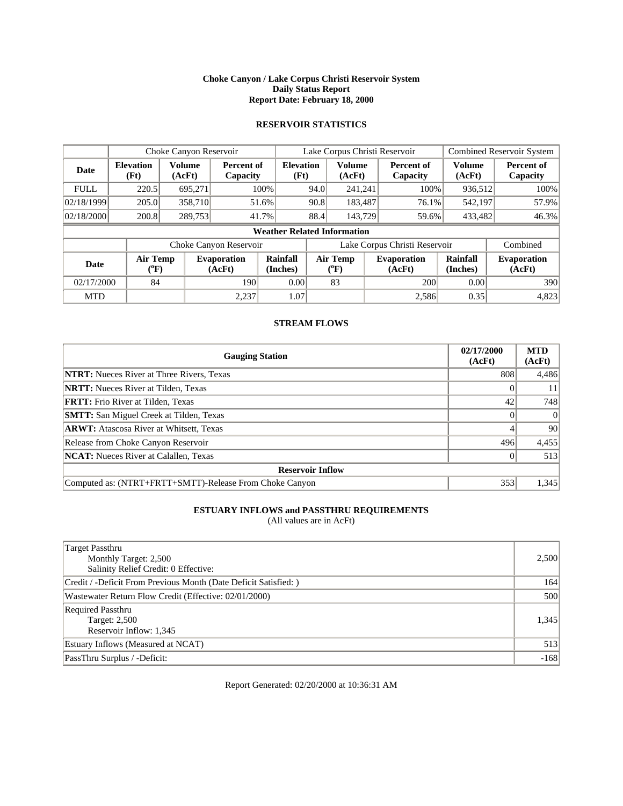### **Choke Canyon / Lake Corpus Christi Reservoir System Daily Status Report Report Date: February 18, 2000**

# **RESERVOIR STATISTICS**

|             |                                       | Choke Canyon Reservoir  |                              |                                    |      | Lake Corpus Christi Reservoir         |                               |                             | <b>Combined Reservoir System</b> |
|-------------|---------------------------------------|-------------------------|------------------------------|------------------------------------|------|---------------------------------------|-------------------------------|-----------------------------|----------------------------------|
| Date        | <b>Elevation</b><br>(Ft)              | <b>Volume</b><br>(AcFt) | Percent of<br>Capacity       | <b>Elevation</b><br>(Ft)           |      | <b>Volume</b><br>(AcFt)               | Percent of<br>Capacity        | Volume<br>(AcFt)            | Percent of<br>Capacity           |
| <b>FULL</b> | 220.5                                 | 695,271                 | $100\%$                      |                                    | 94.0 | 241,241                               | 100%                          | 936,512                     | 100%                             |
| 02/18/1999  | 205.0                                 | 358,710                 | 51.6%                        |                                    | 90.8 | 183,487                               | 76.1%                         | 542,197                     | 57.9%                            |
| 02/18/2000  | 200.8                                 | 289,753                 | 41.7%                        |                                    | 88.4 | 143,729                               | 59.6%                         | 433,482                     | 46.3%                            |
|             |                                       |                         |                              | <b>Weather Related Information</b> |      |                                       |                               |                             |                                  |
|             |                                       |                         | Choke Canyon Reservoir       |                                    |      |                                       | Lake Corpus Christi Reservoir |                             | Combined                         |
| <b>Date</b> | <b>Air Temp</b><br>$({}^0\mathrm{F})$ |                         | <b>Evaporation</b><br>(AcFt) | Rainfall<br>(Inches)               |      | <b>Air Temp</b><br>$({}^o\mathrm{F})$ | <b>Evaporation</b><br>(AcFt)  | <b>Rainfall</b><br>(Inches) | <b>Evaporation</b><br>(AcFt)     |
| 02/17/2000  | 84                                    |                         | 190                          | 0.00                               |      | 83                                    | 200                           | 0.00                        | 390                              |
| <b>MTD</b>  |                                       |                         | 2,237                        | 1.07                               |      |                                       | 2,586                         | 0.35                        | 4,823                            |

### **STREAM FLOWS**

| <b>Gauging Station</b>                                  | 02/17/2000<br>(AcFt) | <b>MTD</b><br>(AcFt) |  |  |  |  |
|---------------------------------------------------------|----------------------|----------------------|--|--|--|--|
| <b>NTRT:</b> Nueces River at Three Rivers, Texas        | 808                  | 4,486                |  |  |  |  |
| <b>NRTT:</b> Nueces River at Tilden, Texas              |                      |                      |  |  |  |  |
| <b>FRTT:</b> Frio River at Tilden, Texas                | 42                   | 748                  |  |  |  |  |
| <b>SMTT:</b> San Miguel Creek at Tilden, Texas          |                      | $\Omega$             |  |  |  |  |
| <b>ARWT:</b> Atascosa River at Whitsett, Texas          |                      | 90                   |  |  |  |  |
| Release from Choke Canyon Reservoir                     | 496                  | 4,455                |  |  |  |  |
| <b>NCAT:</b> Nueces River at Calallen, Texas            |                      | 513                  |  |  |  |  |
| <b>Reservoir Inflow</b>                                 |                      |                      |  |  |  |  |
| Computed as: (NTRT+FRTT+SMTT)-Release From Choke Canyon | 353                  | 1,345                |  |  |  |  |

# **ESTUARY INFLOWS and PASSTHRU REQUIREMENTS**

(All values are in AcFt)

| <b>Target Passthru</b><br>Monthly Target: 2,500<br>Salinity Relief Credit: 0 Effective: | 2,500  |
|-----------------------------------------------------------------------------------------|--------|
| Credit / -Deficit From Previous Month (Date Deficit Satisfied:)                         | 164    |
| Wastewater Return Flow Credit (Effective: 02/01/2000)                                   | 500    |
| Required Passthru<br>Target: 2,500<br>Reservoir Inflow: 1,345                           | 1,345  |
| Estuary Inflows (Measured at NCAT)                                                      | 513    |
| PassThru Surplus / -Deficit:                                                            | $-168$ |

Report Generated: 02/20/2000 at 10:36:31 AM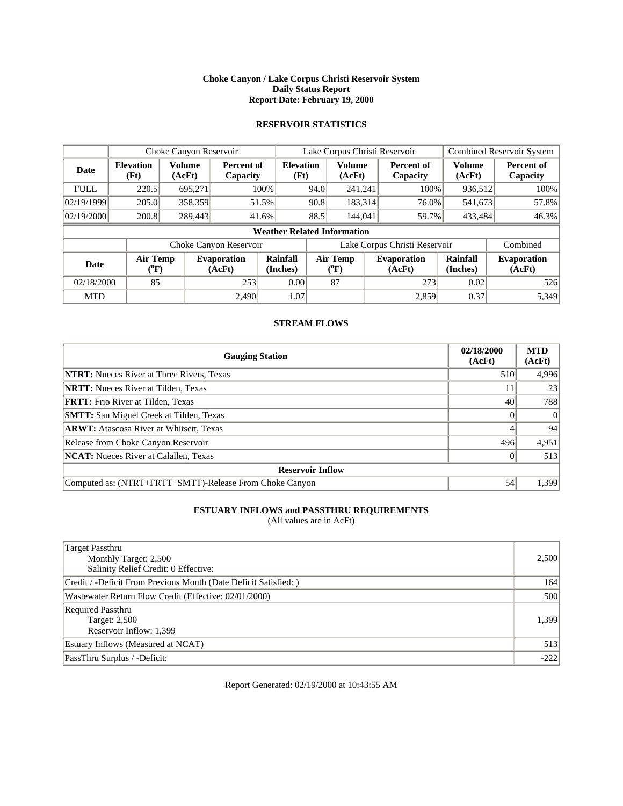### **Choke Canyon / Lake Corpus Christi Reservoir System Daily Status Report Report Date: February 19, 2000**

# **RESERVOIR STATISTICS**

|             |                                |                  | Lake Corpus Christi Reservoir<br>Choke Canyon Reservoir |                                    |      |                                       |  |                               | Combined Reservoir System |                              |
|-------------|--------------------------------|------------------|---------------------------------------------------------|------------------------------------|------|---------------------------------------|--|-------------------------------|---------------------------|------------------------------|
| Date        | <b>Elevation</b><br>(Ft)       | Volume<br>(AcFt) | Percent of<br>Capacity                                  | <b>Elevation</b><br>(Ft)           |      | <b>Volume</b><br>(AcFt)               |  | Percent of<br>Capacity        | <b>Volume</b><br>(AcFt)   | Percent of<br>Capacity       |
| <b>FULL</b> | 220.5                          | 695,271          |                                                         | $100\%$                            | 94.0 | 241,241                               |  | 100%                          | 936,512                   | 100%                         |
| 02/19/1999  | 205.0                          | 358,359          | 51.5%                                                   |                                    | 90.8 | 183,314                               |  | 76.0%                         | 541,673                   | 57.8%                        |
| 02/19/2000  | 200.8                          | 289,443          | 41.6%                                                   |                                    | 88.5 | 144,041                               |  | 59.7%                         | 433,484                   | 46.3%                        |
|             |                                |                  |                                                         | <b>Weather Related Information</b> |      |                                       |  |                               |                           |                              |
|             |                                |                  | Choke Canyon Reservoir                                  |                                    |      |                                       |  | Lake Corpus Christi Reservoir |                           | Combined                     |
| <b>Date</b> | Air Temp<br>$({}^0\mathrm{F})$ |                  | <b>Evaporation</b><br>(AcFt)                            | Rainfall<br>(Inches)               |      | <b>Air Temp</b><br>$({}^0\mathrm{F})$ |  | <b>Evaporation</b><br>(AcFt)  | Rainfall<br>(Inches)      | <b>Evaporation</b><br>(AcFt) |
| 02/18/2000  | 85                             |                  | 253                                                     | 0.00                               |      | 87                                    |  | 273                           | 0.02                      | 526                          |
| <b>MTD</b>  |                                |                  | 2,490                                                   | 1.07                               |      |                                       |  | 2,859                         | 0.37                      | 5,349                        |

### **STREAM FLOWS**

| <b>Gauging Station</b>                                  | 02/18/2000<br>(AcFt) | <b>MTD</b><br>(AcFt) |  |  |  |  |
|---------------------------------------------------------|----------------------|----------------------|--|--|--|--|
| <b>NTRT:</b> Nueces River at Three Rivers, Texas        | 510                  | 4,996                |  |  |  |  |
| <b>NRTT:</b> Nueces River at Tilden, Texas              |                      | 23                   |  |  |  |  |
| <b>FRTT:</b> Frio River at Tilden, Texas                | 40                   | 788                  |  |  |  |  |
| <b>SMTT:</b> San Miguel Creek at Tilden, Texas          |                      | $\Omega$             |  |  |  |  |
| <b>ARWT:</b> Atascosa River at Whitsett, Texas          |                      | 94                   |  |  |  |  |
| Release from Choke Canyon Reservoir                     | 496                  | 4,951                |  |  |  |  |
| <b>NCAT:</b> Nueces River at Calallen, Texas            |                      | 513                  |  |  |  |  |
| <b>Reservoir Inflow</b>                                 |                      |                      |  |  |  |  |
| Computed as: (NTRT+FRTT+SMTT)-Release From Choke Canyon | 54                   | 1,399                |  |  |  |  |

### **ESTUARY INFLOWS and PASSTHRU REQUIREMENTS**

(All values are in AcFt)

| <b>Target Passthru</b><br>Monthly Target: 2,500<br>Salinity Relief Credit: 0 Effective: | 2,500  |
|-----------------------------------------------------------------------------------------|--------|
| Credit / -Deficit From Previous Month (Date Deficit Satisfied:)                         | 164    |
| Wastewater Return Flow Credit (Effective: 02/01/2000)                                   | 500    |
| Required Passthru<br>Target: 2,500<br>Reservoir Inflow: 1,399                           | 1,399  |
| Estuary Inflows (Measured at NCAT)                                                      | 513    |
| PassThru Surplus / -Deficit:                                                            | $-222$ |

Report Generated: 02/19/2000 at 10:43:55 AM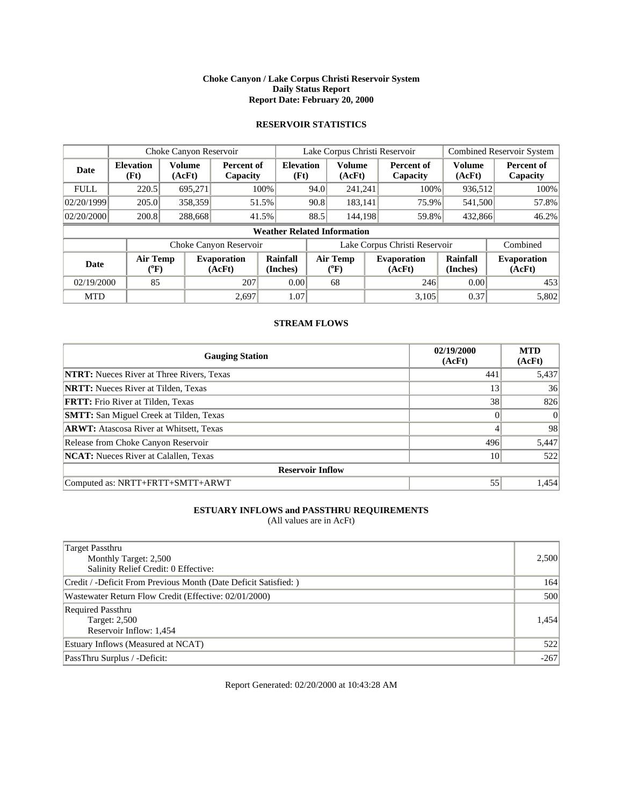### **Choke Canyon / Lake Corpus Christi Reservoir System Daily Status Report Report Date: February 20, 2000**

# **RESERVOIR STATISTICS**

|             | Lake Corpus Christi Reservoir<br>Choke Canyon Reservoir |                  |                              |                                    |      |                                | <b>Combined Reservoir System</b> |                         |                              |
|-------------|---------------------------------------------------------|------------------|------------------------------|------------------------------------|------|--------------------------------|----------------------------------|-------------------------|------------------------------|
| Date        | <b>Elevation</b><br>(Ft)                                | Volume<br>(AcFt) | Percent of<br>Capacity       | <b>Elevation</b><br>(Ft)           |      | <b>Volume</b><br>(AcFt)        | Percent of<br>Capacity           | <b>Volume</b><br>(AcFt) | Percent of<br>Capacity       |
| <b>FULL</b> | 220.5                                                   | 695,271          |                              | $100\%$                            | 94.0 | 241.241                        | 100%                             | 936,512                 | 100%                         |
| 02/20/1999  | 205.0                                                   | 358,359          | 51.5%                        |                                    | 90.8 | 183,141                        | 75.9%                            | 541,500                 | 57.8%                        |
| 02/20/2000  | 200.8                                                   | 288,668          | 41.5%                        |                                    | 88.5 | 144,198                        | 59.8%                            | 432,866                 | 46.2%                        |
|             |                                                         |                  |                              | <b>Weather Related Information</b> |      |                                |                                  |                         |                              |
|             |                                                         |                  | Choke Canyon Reservoir       |                                    |      |                                | Lake Corpus Christi Reservoir    |                         | Combined                     |
| <b>Date</b> | Air Temp<br>$({}^0\mathrm{F})$                          |                  | <b>Evaporation</b><br>(AcFt) | Rainfall<br>(Inches)               |      | Air Temp<br>$({}^0\mathrm{F})$ | <b>Evaporation</b><br>(AcFt)     | Rainfall<br>(Inches)    | <b>Evaporation</b><br>(AcFt) |
| 02/19/2000  | 85                                                      |                  | 207                          | 0.00                               |      | 68                             | 246                              | 0.00                    | 453                          |
| <b>MTD</b>  |                                                         |                  | 2,697                        | 1.07                               |      |                                | 3,105                            | 0.37                    | 5,802                        |

### **STREAM FLOWS**

| <b>Gauging Station</b>                           | 02/19/2000<br>(AcFt) | <b>MTD</b><br>(AcFt) |  |  |  |  |  |
|--------------------------------------------------|----------------------|----------------------|--|--|--|--|--|
| <b>NTRT:</b> Nueces River at Three Rivers, Texas | 441                  | 5,437                |  |  |  |  |  |
| <b>NRTT:</b> Nueces River at Tilden, Texas       | 13                   | 36                   |  |  |  |  |  |
| <b>FRTT:</b> Frio River at Tilden, Texas         | 38                   | 826                  |  |  |  |  |  |
| <b>SMTT:</b> San Miguel Creek at Tilden, Texas   |                      | $\Omega$             |  |  |  |  |  |
| <b>ARWT:</b> Atascosa River at Whitsett, Texas   |                      | 98                   |  |  |  |  |  |
| Release from Choke Canyon Reservoir              | 496                  | 5,447                |  |  |  |  |  |
| <b>NCAT:</b> Nueces River at Calallen, Texas     | 10                   | 522                  |  |  |  |  |  |
| <b>Reservoir Inflow</b>                          |                      |                      |  |  |  |  |  |
| Computed as: NRTT+FRTT+SMTT+ARWT                 | 55                   | 1,454                |  |  |  |  |  |

# **ESTUARY INFLOWS and PASSTHRU REQUIREMENTS**

(All values are in AcFt)

| <b>Target Passthru</b><br>Monthly Target: 2,500<br>Salinity Relief Credit: 0 Effective: | 2,500  |
|-----------------------------------------------------------------------------------------|--------|
| Credit / -Deficit From Previous Month (Date Deficit Satisfied: )                        | 164    |
| Wastewater Return Flow Credit (Effective: 02/01/2000)                                   | 500    |
| Required Passthru<br>Target: 2,500<br>Reservoir Inflow: 1,454                           | 1,454  |
| Estuary Inflows (Measured at NCAT)                                                      | 522    |
| PassThru Surplus / -Deficit:                                                            | $-267$ |

Report Generated: 02/20/2000 at 10:43:28 AM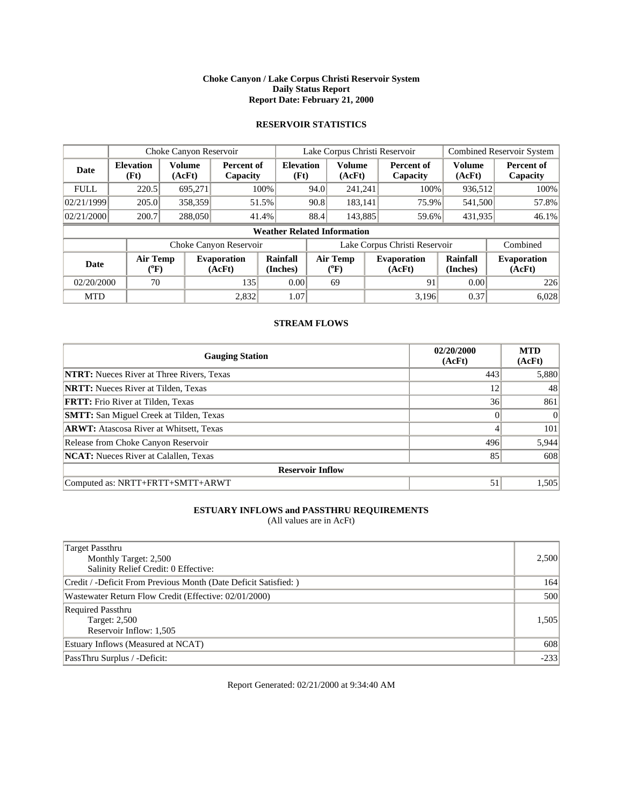### **Choke Canyon / Lake Corpus Christi Reservoir System Daily Status Report Report Date: February 21, 2000**

# **RESERVOIR STATISTICS**

|             | Choke Canyon Reservoir                |                         | Lake Corpus Christi Reservoir |                                    |      |                            |  | <b>Combined Reservoir System</b> |                             |                              |
|-------------|---------------------------------------|-------------------------|-------------------------------|------------------------------------|------|----------------------------|--|----------------------------------|-----------------------------|------------------------------|
| Date        | <b>Elevation</b><br>(Ft)              | <b>Volume</b><br>(AcFt) | Percent of<br>Capacity        | <b>Elevation</b><br>(Ft)           |      | <b>Volume</b><br>(AcFt)    |  | Percent of<br>Capacity           | Volume<br>(AcFt)            | Percent of<br>Capacity       |
| <b>FULL</b> | 220.5                                 | 695,271                 |                               | $100\%$                            | 94.0 | 241,241                    |  | 100%                             | 936,512                     | 100%                         |
| 02/21/1999  | 205.0                                 | 358,359                 |                               | 51.5%                              | 90.8 | 183,141                    |  | 75.9%                            | 541,500                     | 57.8%                        |
| 02/21/2000  | 200.7                                 | 288,050                 |                               | 41.4%                              | 88.4 | 143,885                    |  | 59.6%                            | 431,935                     | $46.1\%$                     |
|             |                                       |                         |                               | <b>Weather Related Information</b> |      |                            |  |                                  |                             |                              |
|             |                                       |                         | Choke Canyon Reservoir        |                                    |      |                            |  | Lake Corpus Christi Reservoir    |                             | Combined                     |
| <b>Date</b> | <b>Air Temp</b><br>$({}^0\mathrm{F})$ |                         | <b>Evaporation</b><br>(AcFt)  | Rainfall<br>(Inches)               |      | <b>Air Temp</b><br>$(^oF)$ |  | <b>Evaporation</b><br>(AcFt)     | <b>Rainfall</b><br>(Inches) | <b>Evaporation</b><br>(AcFt) |
| 02/20/2000  | 70                                    |                         | 135                           | 0.00                               |      | 69                         |  | 91                               | 0.00                        | 226                          |
| <b>MTD</b>  |                                       |                         | 2,832                         | 1.07                               |      |                            |  | 3,196                            | 0.37                        | 6,028                        |

### **STREAM FLOWS**

| <b>Gauging Station</b>                           | 02/20/2000<br>(AcFt) | <b>MTD</b><br>(AcFt) |  |  |  |  |  |
|--------------------------------------------------|----------------------|----------------------|--|--|--|--|--|
| <b>NTRT:</b> Nueces River at Three Rivers, Texas | 443                  | 5,880                |  |  |  |  |  |
| <b>NRTT:</b> Nueces River at Tilden, Texas       | 12                   | 48                   |  |  |  |  |  |
| <b>FRTT:</b> Frio River at Tilden, Texas         | 36                   | 861                  |  |  |  |  |  |
| <b>SMTT:</b> San Miguel Creek at Tilden, Texas   |                      | $\Omega$             |  |  |  |  |  |
| <b>ARWT:</b> Atascosa River at Whitsett, Texas   |                      | 101                  |  |  |  |  |  |
| Release from Choke Canyon Reservoir              | 496                  | 5,944                |  |  |  |  |  |
| <b>NCAT:</b> Nueces River at Calallen, Texas     | 85                   | 608                  |  |  |  |  |  |
| <b>Reservoir Inflow</b>                          |                      |                      |  |  |  |  |  |
| Computed as: NRTT+FRTT+SMTT+ARWT                 | 51                   | 1,505                |  |  |  |  |  |

# **ESTUARY INFLOWS and PASSTHRU REQUIREMENTS**

(All values are in AcFt)

| <b>Target Passthru</b><br>Monthly Target: 2,500<br>Salinity Relief Credit: 0 Effective: | 2,500  |
|-----------------------------------------------------------------------------------------|--------|
| Credit / -Deficit From Previous Month (Date Deficit Satisfied:)                         | 164    |
| Wastewater Return Flow Credit (Effective: 02/01/2000)                                   | 500    |
| Required Passthru<br>Target: 2,500<br>Reservoir Inflow: 1,505                           | 1,505  |
| Estuary Inflows (Measured at NCAT)                                                      | 608    |
| PassThru Surplus / -Deficit:                                                            | $-233$ |

Report Generated: 02/21/2000 at 9:34:40 AM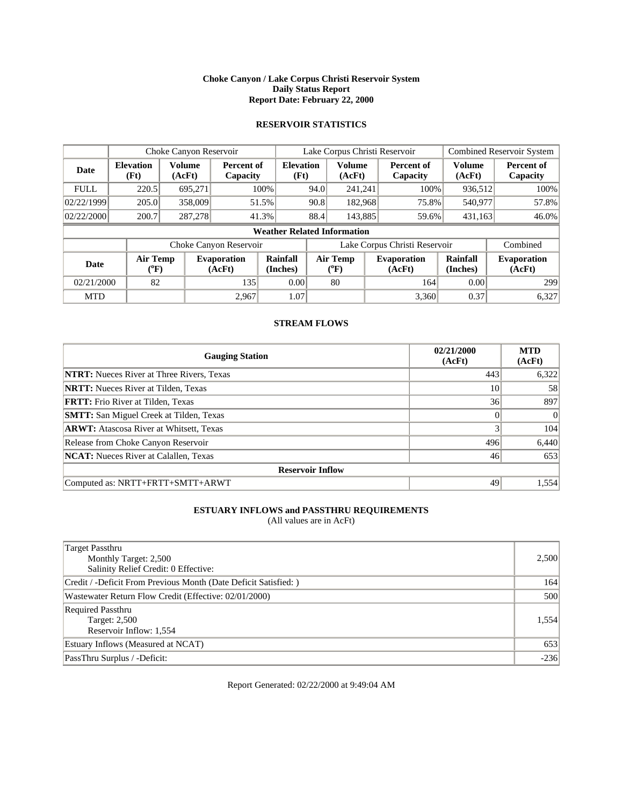### **Choke Canyon / Lake Corpus Christi Reservoir System Daily Status Report Report Date: February 22, 2000**

# **RESERVOIR STATISTICS**

|             | Choke Canyon Reservoir         |                  | Lake Corpus Christi Reservoir |                                    |      |                                       | Combined Reservoir System |                               |                         |                              |
|-------------|--------------------------------|------------------|-------------------------------|------------------------------------|------|---------------------------------------|---------------------------|-------------------------------|-------------------------|------------------------------|
| Date        | <b>Elevation</b><br>(Ft)       | Volume<br>(AcFt) | Percent of<br>Capacity        | <b>Elevation</b><br>(Ft)           |      | <b>Volume</b><br>(AcFt)               |                           | Percent of<br>Capacity        | <b>Volume</b><br>(AcFt) | Percent of<br>Capacity       |
| <b>FULL</b> | 220.5                          | 695,271          |                               | $100\%$                            | 94.0 | 241,241                               |                           | 100%                          | 936,512                 | 100%                         |
| 02/22/1999  | 205.0                          | 358,009          | 51.5%                         |                                    | 90.8 | 182.968                               |                           | 75.8%                         | 540,977                 | 57.8%                        |
| 02/22/2000  | 200.7                          | 287,278          | 41.3%                         |                                    | 88.4 | 143,885                               |                           | 59.6%                         | 431,163                 | 46.0%                        |
|             |                                |                  |                               | <b>Weather Related Information</b> |      |                                       |                           |                               |                         |                              |
|             |                                |                  | Choke Canyon Reservoir        |                                    |      |                                       |                           | Lake Corpus Christi Reservoir |                         | Combined                     |
| <b>Date</b> | Air Temp<br>$({}^0\mathrm{F})$ |                  | <b>Evaporation</b><br>(AcFt)  | Rainfall<br>(Inches)               |      | <b>Air Temp</b><br>$({}^0\mathrm{F})$ |                           | <b>Evaporation</b><br>(AcFt)  | Rainfall<br>(Inches)    | <b>Evaporation</b><br>(AcFt) |
| 02/21/2000  | 82                             |                  | 135                           | 0.00                               |      | 80                                    |                           | 164                           | 0.00                    | 299                          |
| <b>MTD</b>  |                                |                  | 2,967                         | 1.07                               |      |                                       |                           | 3,360                         | 0.37                    | 6,327                        |

### **STREAM FLOWS**

| <b>Gauging Station</b>                           | 02/21/2000<br>(AcFt) | <b>MTD</b><br>(AcFt) |  |  |  |  |
|--------------------------------------------------|----------------------|----------------------|--|--|--|--|
| <b>NTRT:</b> Nueces River at Three Rivers, Texas | 443                  | 6,322                |  |  |  |  |
| <b>NRTT:</b> Nueces River at Tilden, Texas       | 10 <sup>1</sup>      | 58                   |  |  |  |  |
| <b>FRTT:</b> Frio River at Tilden, Texas         | 36                   | 897                  |  |  |  |  |
| <b>SMTT:</b> San Miguel Creek at Tilden, Texas   |                      | $\vert$ 0            |  |  |  |  |
| <b>ARWT:</b> Atascosa River at Whitsett, Texas   |                      | 104                  |  |  |  |  |
| Release from Choke Canyon Reservoir              | 496                  | 6,440                |  |  |  |  |
| <b>NCAT:</b> Nueces River at Calallen, Texas     | 46                   | 653                  |  |  |  |  |
| <b>Reservoir Inflow</b>                          |                      |                      |  |  |  |  |
| Computed as: NRTT+FRTT+SMTT+ARWT                 | 49                   | 1,554                |  |  |  |  |

# **ESTUARY INFLOWS and PASSTHRU REQUIREMENTS**

(All values are in AcFt)

| Target Passthru<br>Monthly Target: 2,500<br>Salinity Relief Credit: 0 Effective: | 2,500  |
|----------------------------------------------------------------------------------|--------|
| Credit / -Deficit From Previous Month (Date Deficit Satisfied: )                 | 164    |
| Wastewater Return Flow Credit (Effective: 02/01/2000)                            | 500    |
| Required Passthru<br>Target: 2,500<br>Reservoir Inflow: 1,554                    | 1,554  |
| Estuary Inflows (Measured at NCAT)                                               | 653    |
| PassThru Surplus / -Deficit:                                                     | $-236$ |

Report Generated: 02/22/2000 at 9:49:04 AM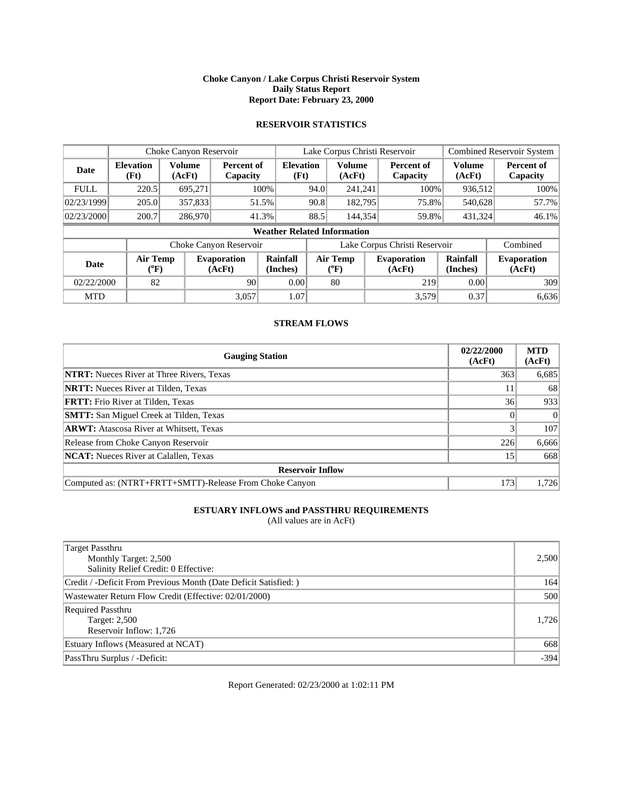### **Choke Canyon / Lake Corpus Christi Reservoir System Daily Status Report Report Date: February 23, 2000**

# **RESERVOIR STATISTICS**

|             | Choke Canyon Reservoir                |                         |                              |                                    | Lake Corpus Christi Reservoir |                            |  |                               | <b>Combined Reservoir System</b> |                              |
|-------------|---------------------------------------|-------------------------|------------------------------|------------------------------------|-------------------------------|----------------------------|--|-------------------------------|----------------------------------|------------------------------|
| Date        | <b>Elevation</b><br>(Ft)              | <b>Volume</b><br>(AcFt) | Percent of<br>Capacity       | <b>Elevation</b><br>(Ft)           |                               | <b>Volume</b><br>(AcFt)    |  | Percent of<br>Capacity        | <b>Volume</b><br>(AcFt)          | Percent of<br>Capacity       |
| <b>FULL</b> | 220.5                                 | 695.271                 | $100\%$                      |                                    | 94.0                          | 241,241                    |  | 100%                          | 936,512                          | 100%                         |
| 02/23/1999  | 205.0                                 | 357,833                 | 51.5%                        |                                    | 90.8                          | 182,795                    |  | 75.8%                         | 540,628                          | 57.7%                        |
| 02/23/2000  | 200.7                                 | 286,970                 | 41.3%                        |                                    | 88.5                          | 144,354                    |  | 59.8%                         | 431,324                          | $46.1\%$                     |
|             |                                       |                         |                              | <b>Weather Related Information</b> |                               |                            |  |                               |                                  |                              |
|             |                                       |                         | Choke Canyon Reservoir       |                                    |                               |                            |  | Lake Corpus Christi Reservoir |                                  | Combined                     |
| <b>Date</b> | <b>Air Temp</b><br>$({}^0\mathrm{F})$ |                         | <b>Evaporation</b><br>(AcFt) | Rainfall<br>(Inches)               |                               | <b>Air Temp</b><br>$(^oF)$ |  | <b>Evaporation</b><br>(AcFt)  | Rainfall<br>(Inches)             | <b>Evaporation</b><br>(AcFt) |
| 02/22/2000  | 82                                    |                         | 90 <sup>°</sup>              | 0.00                               |                               | 80                         |  | 219                           | 0.00                             | 309                          |
| <b>MTD</b>  |                                       |                         | 3,057                        | 1.07                               |                               |                            |  | 3,579                         | 0.37                             | 6,636                        |

### **STREAM FLOWS**

| <b>Gauging Station</b>                                  | 02/22/2000<br>(AcFt) | <b>MTD</b><br>(AcFt) |  |  |  |
|---------------------------------------------------------|----------------------|----------------------|--|--|--|
| <b>NTRT:</b> Nueces River at Three Rivers, Texas        | 363                  | 6,685                |  |  |  |
| <b>NRTT:</b> Nueces River at Tilden, Texas              |                      | 68                   |  |  |  |
| <b>FRTT:</b> Frio River at Tilden, Texas                | 36                   | 933                  |  |  |  |
| <b>SMTT:</b> San Miguel Creek at Tilden, Texas          |                      | $\Omega$             |  |  |  |
| <b>ARWT:</b> Atascosa River at Whitsett, Texas          |                      | 107                  |  |  |  |
| Release from Choke Canyon Reservoir                     | 226                  | 6,666                |  |  |  |
| <b>NCAT:</b> Nueces River at Calallen, Texas            | 15                   | 668                  |  |  |  |
| <b>Reservoir Inflow</b>                                 |                      |                      |  |  |  |
| Computed as: (NTRT+FRTT+SMTT)-Release From Choke Canyon | 173                  | 1,726                |  |  |  |

# **ESTUARY INFLOWS and PASSTHRU REQUIREMENTS**

(All values are in AcFt)

| <b>Target Passthru</b><br>Monthly Target: 2,500<br>Salinity Relief Credit: 0 Effective: | 2,500  |
|-----------------------------------------------------------------------------------------|--------|
| Credit / -Deficit From Previous Month (Date Deficit Satisfied:)                         | 164    |
| Wastewater Return Flow Credit (Effective: 02/01/2000)                                   | 500    |
| Required Passthru<br><b>Target: 2,500</b><br>Reservoir Inflow: 1,726                    | 1,726  |
| Estuary Inflows (Measured at NCAT)                                                      | 668    |
| PassThru Surplus / -Deficit:                                                            | $-394$ |

Report Generated: 02/23/2000 at 1:02:11 PM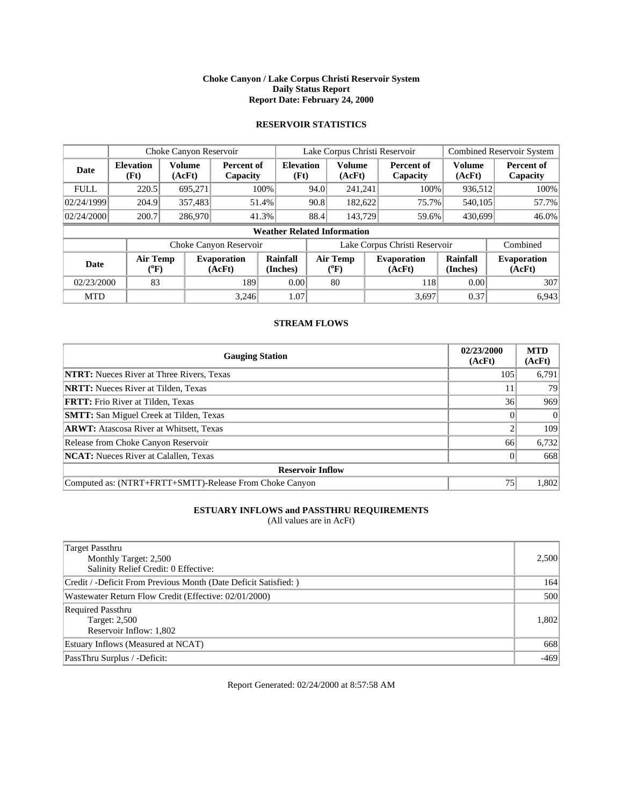### **Choke Canyon / Lake Corpus Christi Reservoir System Daily Status Report Report Date: February 24, 2000**

# **RESERVOIR STATISTICS**

|             | Choke Canyon Reservoir         |                  | Lake Corpus Christi Reservoir |                                    |      |                                       |  | Combined Reservoir System     |                         |                              |
|-------------|--------------------------------|------------------|-------------------------------|------------------------------------|------|---------------------------------------|--|-------------------------------|-------------------------|------------------------------|
| Date        | <b>Elevation</b><br>(Ft)       | Volume<br>(AcFt) | Percent of<br>Capacity        | <b>Elevation</b><br>(Ft)           |      | <b>Volume</b><br>(AcFt)               |  | Percent of<br>Capacity        | <b>Volume</b><br>(AcFt) | Percent of<br>Capacity       |
| <b>FULL</b> | 220.5                          | 695,271          |                               | $100\%$                            | 94.0 | 241,241                               |  | 100%                          | 936,512                 | 100%                         |
| 02/24/1999  | 204.9                          | 357,483          | 51.4%                         |                                    | 90.8 | 182,622                               |  | 75.7%                         | 540,105                 | 57.7%                        |
| 02/24/2000  | 200.7                          | 286,970          | 41.3%                         |                                    | 88.4 | 143,729                               |  | 59.6%                         | 430,699                 | 46.0%                        |
|             |                                |                  |                               | <b>Weather Related Information</b> |      |                                       |  |                               |                         |                              |
|             |                                |                  | Choke Canyon Reservoir        |                                    |      |                                       |  | Lake Corpus Christi Reservoir |                         | Combined                     |
| <b>Date</b> | Air Temp<br>$({}^0\mathrm{F})$ |                  | <b>Evaporation</b><br>(AcFt)  | Rainfall<br>(Inches)               |      | <b>Air Temp</b><br>$({}^0\mathrm{F})$ |  | <b>Evaporation</b><br>(AcFt)  | Rainfall<br>(Inches)    | <b>Evaporation</b><br>(AcFt) |
| 02/23/2000  | 83                             |                  | 189                           | 0.00                               |      | 80                                    |  | <b>118</b>                    | 0.00                    | 307                          |
| <b>MTD</b>  |                                |                  | 3,246                         | 1.07                               |      |                                       |  | 3,697                         | 0.37                    | 6,943                        |

### **STREAM FLOWS**

| <b>Gauging Station</b>                                  | 02/23/2000<br>(AcFt) | <b>MTD</b><br>(AcFt) |  |  |  |  |
|---------------------------------------------------------|----------------------|----------------------|--|--|--|--|
| <b>NTRT:</b> Nueces River at Three Rivers, Texas        | 105                  | 6,791                |  |  |  |  |
| <b>NRTT:</b> Nueces River at Tilden, Texas              |                      | 79                   |  |  |  |  |
| <b>FRTT:</b> Frio River at Tilden, Texas                | 36                   | 969                  |  |  |  |  |
| <b>SMTT:</b> San Miguel Creek at Tilden, Texas          |                      | $\vert$ 0            |  |  |  |  |
| <b>ARWT:</b> Atascosa River at Whitsett, Texas          |                      | 109                  |  |  |  |  |
| Release from Choke Canyon Reservoir                     | 66                   | 6,732                |  |  |  |  |
| <b>NCAT:</b> Nueces River at Calallen, Texas            |                      | 668                  |  |  |  |  |
| <b>Reservoir Inflow</b>                                 |                      |                      |  |  |  |  |
| Computed as: (NTRT+FRTT+SMTT)-Release From Choke Canyon | 75                   | 1,802                |  |  |  |  |

# **ESTUARY INFLOWS and PASSTHRU REQUIREMENTS**

(All values are in AcFt)

| Target Passthru<br>Monthly Target: 2,500<br>Salinity Relief Credit: 0 Effective: | 2,500  |
|----------------------------------------------------------------------------------|--------|
| Credit / -Deficit From Previous Month (Date Deficit Satisfied: )                 | 164    |
| Wastewater Return Flow Credit (Effective: 02/01/2000)                            | 500    |
| Required Passthru<br>Target: 2,500<br>Reservoir Inflow: 1,802                    | 1,802  |
| Estuary Inflows (Measured at NCAT)                                               | 668    |
| PassThru Surplus / -Deficit:                                                     | $-469$ |

Report Generated: 02/24/2000 at 8:57:58 AM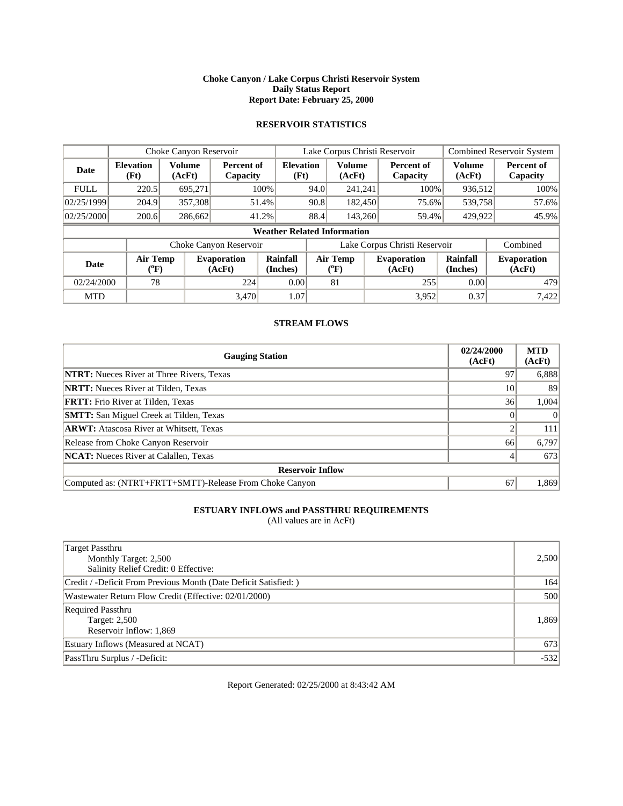### **Choke Canyon / Lake Corpus Christi Reservoir System Daily Status Report Report Date: February 25, 2000**

# **RESERVOIR STATISTICS**

|             | Choke Canyon Reservoir                |                         | Lake Corpus Christi Reservoir |                                    |      |                            | Combined Reservoir System |                               |                         |                              |
|-------------|---------------------------------------|-------------------------|-------------------------------|------------------------------------|------|----------------------------|---------------------------|-------------------------------|-------------------------|------------------------------|
| Date        | <b>Elevation</b><br>(Ft)              | <b>Volume</b><br>(AcFt) | Percent of<br>Capacity        | <b>Elevation</b><br>(Ft)           |      | <b>Volume</b><br>(AcFt)    |                           | Percent of<br>Capacity        | <b>Volume</b><br>(AcFt) | Percent of<br>Capacity       |
| <b>FULL</b> | 220.5                                 | 695.271                 |                               | 100%                               | 94.0 | 241,241                    |                           | 100%                          | 936,512                 | 100%                         |
| 02/25/1999  | 204.9                                 | 357,308                 | 51.4%                         |                                    | 90.8 | 182,450                    |                           | 75.6%                         | 539,758                 | 57.6%                        |
| 02/25/2000  | 200.6                                 | 286,662                 | 41.2%                         |                                    | 88.4 | 143,260                    |                           | 59.4%                         | 429,922                 | 45.9%                        |
|             |                                       |                         |                               | <b>Weather Related Information</b> |      |                            |                           |                               |                         |                              |
|             |                                       |                         | Choke Canyon Reservoir        |                                    |      |                            |                           | Lake Corpus Christi Reservoir |                         | Combined                     |
| <b>Date</b> | <b>Air Temp</b><br>$({}^0\mathrm{F})$ |                         | <b>Evaporation</b><br>(AcFt)  | Rainfall<br>(Inches)               |      | <b>Air Temp</b><br>$(^0F)$ |                           | <b>Evaporation</b><br>(AcFt)  | Rainfall<br>(Inches)    | <b>Evaporation</b><br>(AcFt) |
| 02/24/2000  | 78                                    |                         | 224                           | 0.00                               |      | 81                         |                           | 255                           | 0.00                    | 479                          |
| <b>MTD</b>  |                                       |                         | 3,470                         | 1.07                               |      |                            |                           | 3.952                         | 0.37                    | 7,422                        |

### **STREAM FLOWS**

| <b>Gauging Station</b>                                  | 02/24/2000<br>(AcFt) | <b>MTD</b><br>(AcFt) |  |  |  |  |
|---------------------------------------------------------|----------------------|----------------------|--|--|--|--|
| <b>NTRT:</b> Nueces River at Three Rivers, Texas        | 97                   | 6,888                |  |  |  |  |
| <b>NRTT:</b> Nueces River at Tilden, Texas              | 10                   | 89                   |  |  |  |  |
| <b>FRTT:</b> Frio River at Tilden, Texas                | 36                   | 1,004                |  |  |  |  |
| <b>SMTT:</b> San Miguel Creek at Tilden, Texas          |                      | $\Omega$             |  |  |  |  |
| <b>ARWT:</b> Atascosa River at Whitsett, Texas          |                      | 111                  |  |  |  |  |
| Release from Choke Canyon Reservoir                     | 66                   | 6,797                |  |  |  |  |
| <b>NCAT:</b> Nueces River at Calallen, Texas            |                      | 673                  |  |  |  |  |
| <b>Reservoir Inflow</b>                                 |                      |                      |  |  |  |  |
| Computed as: (NTRT+FRTT+SMTT)-Release From Choke Canyon | 67                   | 1,869                |  |  |  |  |

# **ESTUARY INFLOWS and PASSTHRU REQUIREMENTS**

(All values are in AcFt)

| <b>Target Passthru</b><br>Monthly Target: 2,500<br>Salinity Relief Credit: 0 Effective: | 2,500  |
|-----------------------------------------------------------------------------------------|--------|
| Credit / -Deficit From Previous Month (Date Deficit Satisfied:)                         | 164    |
| Wastewater Return Flow Credit (Effective: 02/01/2000)                                   | 500    |
| Required Passthru<br>Target: 2,500<br>Reservoir Inflow: 1,869                           | 1.869  |
| Estuary Inflows (Measured at NCAT)                                                      | 673    |
| PassThru Surplus / -Deficit:                                                            | $-532$ |

Report Generated: 02/25/2000 at 8:43:42 AM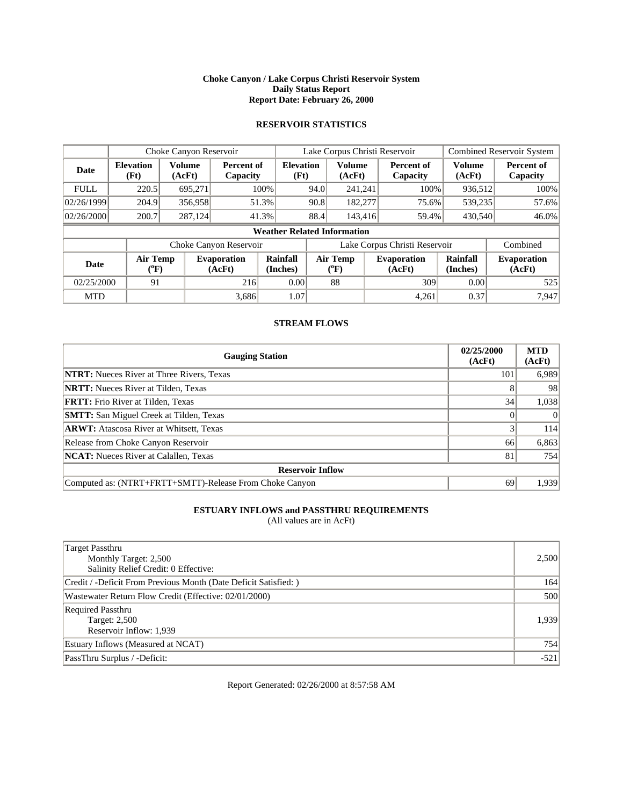### **Choke Canyon / Lake Corpus Christi Reservoir System Daily Status Report Report Date: February 26, 2000**

# **RESERVOIR STATISTICS**

|             | Choke Canyon Reservoir                |                         | Lake Corpus Christi Reservoir |                                    |      |                            | Combined Reservoir System |                               |                         |                              |
|-------------|---------------------------------------|-------------------------|-------------------------------|------------------------------------|------|----------------------------|---------------------------|-------------------------------|-------------------------|------------------------------|
| Date        | <b>Elevation</b><br>(Ft)              | <b>Volume</b><br>(AcFt) | Percent of<br>Capacity        | <b>Elevation</b><br>(Ft)           |      | <b>Volume</b><br>(AcFt)    |                           | Percent of<br>Capacity        | <b>Volume</b><br>(AcFt) | Percent of<br>Capacity       |
| <b>FULL</b> | 220.5                                 | 695.271                 |                               | 100%                               | 94.0 | 241,241                    |                           | 100%                          | 936,512                 | 100%                         |
| 02/26/1999  | 204.9                                 | 356,958                 | 51.3%                         |                                    | 90.8 | 182,277                    |                           | 75.6%                         | 539,235                 | 57.6%                        |
| 02/26/2000  | 200.7                                 | 287,124                 | 41.3%                         |                                    | 88.4 | 143,416                    |                           | 59.4%                         | 430,540                 | 46.0%                        |
|             |                                       |                         |                               | <b>Weather Related Information</b> |      |                            |                           |                               |                         |                              |
|             |                                       |                         | Choke Canyon Reservoir        |                                    |      |                            |                           | Lake Corpus Christi Reservoir |                         | Combined                     |
| <b>Date</b> | <b>Air Temp</b><br>$({}^0\mathrm{F})$ |                         | <b>Evaporation</b><br>(AcFt)  | Rainfall<br>(Inches)               |      | <b>Air Temp</b><br>$(^0F)$ |                           | <b>Evaporation</b><br>(AcFt)  | Rainfall<br>(Inches)    | <b>Evaporation</b><br>(AcFt) |
| 02/25/2000  | 91                                    |                         | 216                           | 0.00                               |      | 88                         |                           | 309                           | 0.00                    | 525                          |
| <b>MTD</b>  |                                       |                         | 3,686                         | 1.07                               |      |                            |                           | 4,261                         | 0.37                    | 7,947                        |

### **STREAM FLOWS**

| <b>Gauging Station</b>                                  | 02/25/2000<br>(AcFt) | <b>MTD</b><br>(AcFt) |  |  |  |  |
|---------------------------------------------------------|----------------------|----------------------|--|--|--|--|
| <b>NTRT:</b> Nueces River at Three Rivers, Texas        | 101                  | 6,989                |  |  |  |  |
| <b>NRTT:</b> Nueces River at Tilden, Texas              |                      | 98                   |  |  |  |  |
| <b>FRTT:</b> Frio River at Tilden, Texas                | 34                   | 1,038                |  |  |  |  |
| <b>SMTT:</b> San Miguel Creek at Tilden, Texas          |                      | $\Omega$             |  |  |  |  |
| <b>ARWT:</b> Atascosa River at Whitsett, Texas          |                      | 114                  |  |  |  |  |
| Release from Choke Canyon Reservoir                     | 66                   | 6,863                |  |  |  |  |
| <b>NCAT:</b> Nueces River at Calallen, Texas            | 81                   | 754                  |  |  |  |  |
| <b>Reservoir Inflow</b>                                 |                      |                      |  |  |  |  |
| Computed as: (NTRT+FRTT+SMTT)-Release From Choke Canyon | 69                   | 1,939                |  |  |  |  |

# **ESTUARY INFLOWS and PASSTHRU REQUIREMENTS**

(All values are in AcFt)

| <b>Target Passthru</b><br>Monthly Target: 2,500<br>Salinity Relief Credit: 0 Effective: | 2,500  |
|-----------------------------------------------------------------------------------------|--------|
| Credit / -Deficit From Previous Month (Date Deficit Satisfied:)                         | 164    |
| Wastewater Return Flow Credit (Effective: 02/01/2000)                                   | 500    |
| Required Passthru<br><b>Target: 2,500</b><br>Reservoir Inflow: 1,939                    | 1,939  |
| Estuary Inflows (Measured at NCAT)                                                      | 754    |
| PassThru Surplus / -Deficit:                                                            | $-521$ |

Report Generated: 02/26/2000 at 8:57:58 AM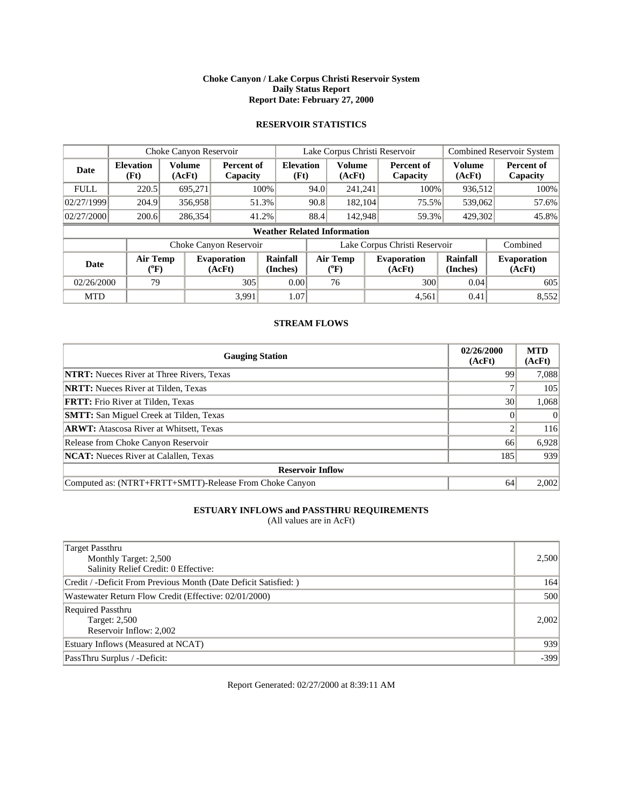### **Choke Canyon / Lake Corpus Christi Reservoir System Daily Status Report Report Date: February 27, 2000**

# **RESERVOIR STATISTICS**

|             | Choke Canyon Reservoir         |                  | Lake Corpus Christi Reservoir |                                    |      |                                       |  | Combined Reservoir System     |                         |                              |
|-------------|--------------------------------|------------------|-------------------------------|------------------------------------|------|---------------------------------------|--|-------------------------------|-------------------------|------------------------------|
| Date        | <b>Elevation</b><br>(Ft)       | Volume<br>(AcFt) | Percent of<br>Capacity        | <b>Elevation</b><br>(Ft)           |      | <b>Volume</b><br>(AcFt)               |  | Percent of<br>Capacity        | <b>Volume</b><br>(AcFt) | Percent of<br>Capacity       |
| <b>FULL</b> | 220.5                          | 695,271          |                               | $100\%$                            | 94.0 | 241,241                               |  | 100%                          | 936,512                 | 100%                         |
| 02/27/1999  | 204.9                          | 356,958          | 51.3%                         |                                    | 90.8 | 182.104                               |  | 75.5%                         | 539,062                 | 57.6%                        |
| 02/27/2000  | 200.6                          | 286,354          | 41.2%                         |                                    | 88.4 | 142,948                               |  | 59.3%                         | 429,302                 | 45.8%                        |
|             |                                |                  |                               | <b>Weather Related Information</b> |      |                                       |  |                               |                         |                              |
|             |                                |                  | Choke Canyon Reservoir        |                                    |      |                                       |  | Lake Corpus Christi Reservoir |                         | Combined                     |
| <b>Date</b> | Air Temp<br>$({}^0\mathrm{F})$ |                  | <b>Evaporation</b><br>(AcFt)  | Rainfall<br>(Inches)               |      | <b>Air Temp</b><br>$({}^0\mathrm{F})$ |  | <b>Evaporation</b><br>(AcFt)  | Rainfall<br>(Inches)    | <b>Evaporation</b><br>(AcFt) |
| 02/26/2000  | 79                             |                  | 305                           | 0.00                               |      | 76                                    |  | 300                           | 0.04                    | 605                          |
| <b>MTD</b>  |                                |                  | 3,991                         | 1.07                               |      |                                       |  | 4,561                         | 0.41                    | 8,552                        |

### **STREAM FLOWS**

| <b>Gauging Station</b>                                  | 02/26/2000<br>(AcFt) | <b>MTD</b><br>(AcFt) |  |  |  |  |
|---------------------------------------------------------|----------------------|----------------------|--|--|--|--|
| <b>NTRT:</b> Nueces River at Three Rivers, Texas        | 99                   | 7,088                |  |  |  |  |
| <b>NRTT:</b> Nueces River at Tilden, Texas              |                      | 105                  |  |  |  |  |
| <b>FRTT:</b> Frio River at Tilden, Texas                | 30                   | 1,068                |  |  |  |  |
| <b>SMTT:</b> San Miguel Creek at Tilden, Texas          | $\Omega$             | $\Omega$             |  |  |  |  |
| <b>ARWT:</b> Atascosa River at Whitsett, Texas          |                      | 116                  |  |  |  |  |
| Release from Choke Canyon Reservoir                     | 66                   | 6,928                |  |  |  |  |
| <b>NCAT:</b> Nueces River at Calallen, Texas            | 185                  | 939                  |  |  |  |  |
| <b>Reservoir Inflow</b>                                 |                      |                      |  |  |  |  |
| Computed as: (NTRT+FRTT+SMTT)-Release From Choke Canyon | 64                   | 2,002                |  |  |  |  |

# **ESTUARY INFLOWS and PASSTHRU REQUIREMENTS**

(All values are in AcFt)

| <b>Target Passthru</b><br>Monthly Target: 2,500<br>Salinity Relief Credit: 0 Effective: | 2,500  |
|-----------------------------------------------------------------------------------------|--------|
| Credit / -Deficit From Previous Month (Date Deficit Satisfied:)                         | 164    |
| Wastewater Return Flow Credit (Effective: 02/01/2000)                                   | 500    |
| Required Passthru<br>Target: 2,500<br>Reservoir Inflow: 2,002                           | 2,002  |
| Estuary Inflows (Measured at NCAT)                                                      | 939    |
| PassThru Surplus / -Deficit:                                                            | $-399$ |

Report Generated: 02/27/2000 at 8:39:11 AM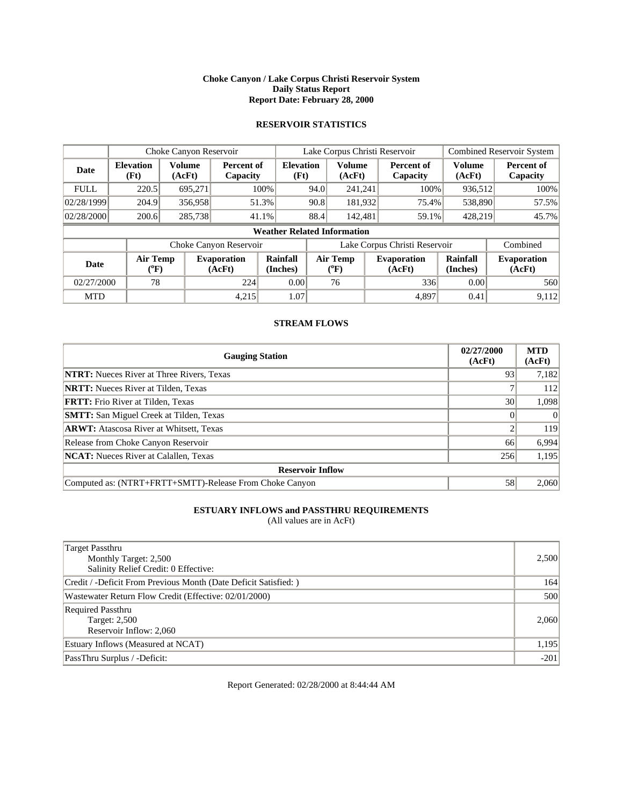### **Choke Canyon / Lake Corpus Christi Reservoir System Daily Status Report Report Date: February 28, 2000**

# **RESERVOIR STATISTICS**

|             | Choke Canyon Reservoir                |                         | Lake Corpus Christi Reservoir |                                    |      |                            | Combined Reservoir System |                               |                         |                              |
|-------------|---------------------------------------|-------------------------|-------------------------------|------------------------------------|------|----------------------------|---------------------------|-------------------------------|-------------------------|------------------------------|
| Date        | <b>Elevation</b><br>(Ft)              | <b>Volume</b><br>(AcFt) | Percent of<br>Capacity        | <b>Elevation</b><br>(Ft)           |      | <b>Volume</b><br>(AcFt)    |                           | Percent of<br>Capacity        | <b>Volume</b><br>(AcFt) | Percent of<br>Capacity       |
| <b>FULL</b> | 220.5                                 | 695.271                 |                               | 100%                               | 94.0 | 241,241                    |                           | 100%                          | 936,512                 | 100%                         |
| 02/28/1999  | 204.9                                 | 356,958                 |                               | 51.3%                              | 90.8 | 181,932                    |                           | 75.4%                         | 538,890                 | 57.5%                        |
| 02/28/2000  | 200.6                                 | 285,738                 |                               | 41.1%                              | 88.4 | 142,481                    |                           | 59.1%                         | 428,219                 | 45.7%                        |
|             |                                       |                         |                               | <b>Weather Related Information</b> |      |                            |                           |                               |                         |                              |
|             |                                       |                         | Choke Canyon Reservoir        |                                    |      |                            |                           | Lake Corpus Christi Reservoir |                         | Combined                     |
| <b>Date</b> | <b>Air Temp</b><br>$({}^0\mathrm{F})$ |                         | <b>Evaporation</b><br>(AcFt)  | Rainfall<br>(Inches)               |      | <b>Air Temp</b><br>$(^0F)$ |                           | <b>Evaporation</b><br>(AcFt)  | Rainfall<br>(Inches)    | <b>Evaporation</b><br>(AcFt) |
| 02/27/2000  | 78                                    |                         | 224                           | 0.00                               |      | 76                         |                           | 336                           | 0.00                    | 560                          |
| <b>MTD</b>  |                                       |                         | 4,215                         | 1.07                               |      |                            |                           | 4,897                         | 0.41                    | 9,112                        |

### **STREAM FLOWS**

| <b>Gauging Station</b>                                  | 02/27/2000<br>(AcFt) | <b>MTD</b><br>(AcFt) |  |  |  |  |
|---------------------------------------------------------|----------------------|----------------------|--|--|--|--|
| <b>NTRT:</b> Nueces River at Three Rivers, Texas        | 93                   | 7,182                |  |  |  |  |
| <b>NRTT:</b> Nueces River at Tilden, Texas              |                      | 112                  |  |  |  |  |
| <b>FRTT:</b> Frio River at Tilden, Texas                | 30                   | 1,098                |  |  |  |  |
| <b>SMTT:</b> San Miguel Creek at Tilden, Texas          |                      | $\Omega$             |  |  |  |  |
| <b>ARWT:</b> Atascosa River at Whitsett, Texas          |                      | 119                  |  |  |  |  |
| Release from Choke Canyon Reservoir                     | 66                   | 6,994                |  |  |  |  |
| <b>NCAT:</b> Nueces River at Calallen, Texas            | 256                  | 1,195                |  |  |  |  |
| <b>Reservoir Inflow</b>                                 |                      |                      |  |  |  |  |
| Computed as: (NTRT+FRTT+SMTT)-Release From Choke Canyon | 58                   | 2,060                |  |  |  |  |

# **ESTUARY INFLOWS and PASSTHRU REQUIREMENTS**

(All values are in AcFt)

| <b>Target Passthru</b><br>Monthly Target: 2,500<br>Salinity Relief Credit: 0 Effective: | 2,500  |
|-----------------------------------------------------------------------------------------|--------|
| Credit / -Deficit From Previous Month (Date Deficit Satisfied:)                         | 164    |
| Wastewater Return Flow Credit (Effective: 02/01/2000)                                   | 500    |
| Required Passthru<br>Target: 2,500<br>Reservoir Inflow: 2,060                           | 2,060  |
| Estuary Inflows (Measured at NCAT)                                                      | 1,195  |
| PassThru Surplus / -Deficit:                                                            | $-201$ |

Report Generated: 02/28/2000 at 8:44:44 AM